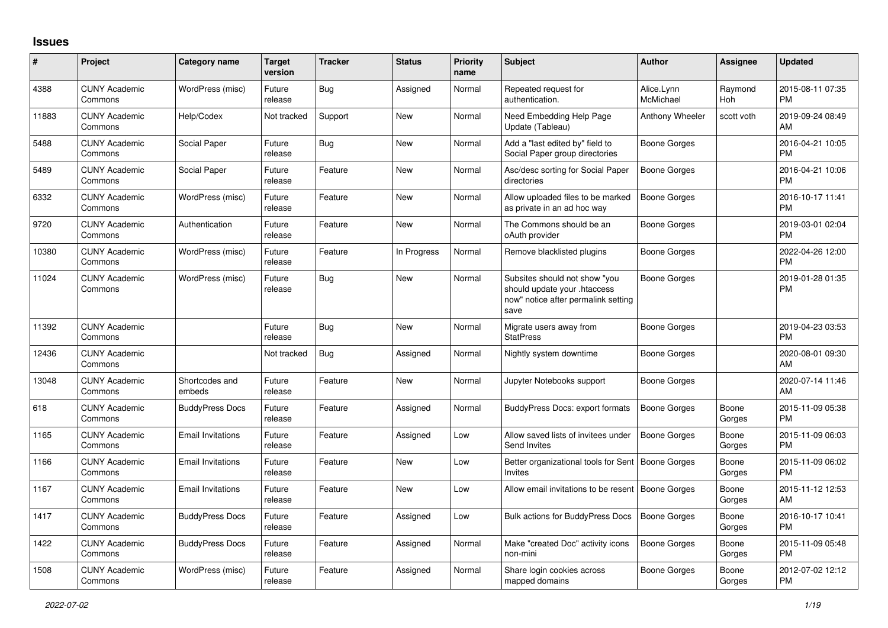## **Issues**

| #     | Project                         | <b>Category name</b>     | <b>Target</b><br>version | <b>Tracker</b> | <b>Status</b> | Priority<br>name | <b>Subject</b>                                                                                               | <b>Author</b>           | <b>Assignee</b> | <b>Updated</b>                |
|-------|---------------------------------|--------------------------|--------------------------|----------------|---------------|------------------|--------------------------------------------------------------------------------------------------------------|-------------------------|-----------------|-------------------------------|
| 4388  | <b>CUNY Academic</b><br>Commons | WordPress (misc)         | Future<br>release        | <b>Bug</b>     | Assigned      | Normal           | Repeated request for<br>authentication.                                                                      | Alice.Lynn<br>McMichael | Raymond<br>Hoh  | 2015-08-11 07:35<br><b>PM</b> |
| 11883 | <b>CUNY Academic</b><br>Commons | Help/Codex               | Not tracked              | Support        | <b>New</b>    | Normal           | Need Embedding Help Page<br>Update (Tableau)                                                                 | Anthony Wheeler         | scott voth      | 2019-09-24 08:49<br>AM        |
| 5488  | <b>CUNY Academic</b><br>Commons | Social Paper             | Future<br>release        | Bug            | <b>New</b>    | Normal           | Add a "last edited by" field to<br>Social Paper group directories                                            | Boone Gorges            |                 | 2016-04-21 10:05<br><b>PM</b> |
| 5489  | <b>CUNY Academic</b><br>Commons | Social Paper             | Future<br>release        | Feature        | <b>New</b>    | Normal           | Asc/desc sorting for Social Paper<br>directories                                                             | Boone Gorges            |                 | 2016-04-21 10:06<br><b>PM</b> |
| 6332  | <b>CUNY Academic</b><br>Commons | WordPress (misc)         | Future<br>release        | Feature        | New           | Normal           | Allow uploaded files to be marked<br>as private in an ad hoc way                                             | Boone Gorges            |                 | 2016-10-17 11:41<br><b>PM</b> |
| 9720  | <b>CUNY Academic</b><br>Commons | Authentication           | Future<br>release        | Feature        | New           | Normal           | The Commons should be an<br>oAuth provider                                                                   | Boone Gorges            |                 | 2019-03-01 02:04<br><b>PM</b> |
| 10380 | <b>CUNY Academic</b><br>Commons | WordPress (misc)         | Future<br>release        | Feature        | In Progress   | Normal           | Remove blacklisted plugins                                                                                   | Boone Gorges            |                 | 2022-04-26 12:00<br><b>PM</b> |
| 11024 | <b>CUNY Academic</b><br>Commons | WordPress (misc)         | Future<br>release        | Bug            | New           | Normal           | Subsites should not show "you<br>should update your .htaccess<br>now" notice after permalink setting<br>save | Boone Gorges            |                 | 2019-01-28 01:35<br>PM        |
| 11392 | <b>CUNY Academic</b><br>Commons |                          | Future<br>release        | Bug            | New           | Normal           | Migrate users away from<br><b>StatPress</b>                                                                  | Boone Gorges            |                 | 2019-04-23 03:53<br><b>PM</b> |
| 12436 | <b>CUNY Academic</b><br>Commons |                          | Not tracked              | Bug            | Assigned      | Normal           | Nightly system downtime                                                                                      | Boone Gorges            |                 | 2020-08-01 09:30<br>AM        |
| 13048 | <b>CUNY Academic</b><br>Commons | Shortcodes and<br>embeds | Future<br>release        | Feature        | New           | Normal           | Jupyter Notebooks support                                                                                    | Boone Gorges            |                 | 2020-07-14 11:46<br>AM        |
| 618   | <b>CUNY Academic</b><br>Commons | <b>BuddyPress Docs</b>   | Future<br>release        | Feature        | Assigned      | Normal           | BuddyPress Docs: export formats                                                                              | Boone Gorges            | Boone<br>Gorges | 2015-11-09 05:38<br><b>PM</b> |
| 1165  | <b>CUNY Academic</b><br>Commons | <b>Email Invitations</b> | Future<br>release        | Feature        | Assigned      | Low              | Allow saved lists of invitees under<br>Send Invites                                                          | <b>Boone Gorges</b>     | Boone<br>Gorges | 2015-11-09 06:03<br><b>PM</b> |
| 1166  | <b>CUNY Academic</b><br>Commons | <b>Email Invitations</b> | Future<br>release        | Feature        | New           | Low              | Better organizational tools for Sent<br><b>Invites</b>                                                       | Boone Gorges            | Boone<br>Gorges | 2015-11-09 06:02<br><b>PM</b> |
| 1167  | <b>CUNY Academic</b><br>Commons | <b>Email Invitations</b> | Future<br>release        | Feature        | New           | Low              | Allow email invitations to be resent   Boone Gorges                                                          |                         | Boone<br>Gorges | 2015-11-12 12:53<br>AM        |
| 1417  | <b>CUNY Academic</b><br>Commons | <b>BuddyPress Docs</b>   | Future<br>release        | Feature        | Assigned      | Low              | <b>Bulk actions for BuddyPress Docs</b>                                                                      | <b>Boone Gorges</b>     | Boone<br>Gorges | 2016-10-17 10:41<br><b>PM</b> |
| 1422  | <b>CUNY Academic</b><br>Commons | <b>BuddyPress Docs</b>   | Future<br>release        | Feature        | Assigned      | Normal           | Make "created Doc" activity icons<br>non-mini                                                                | <b>Boone Gorges</b>     | Boone<br>Gorges | 2015-11-09 05:48<br><b>PM</b> |
| 1508  | <b>CUNY Academic</b><br>Commons | WordPress (misc)         | Future<br>release        | Feature        | Assigned      | Normal           | Share login cookies across<br>mapped domains                                                                 | Boone Gorges            | Boone<br>Gorges | 2012-07-02 12:12<br><b>PM</b> |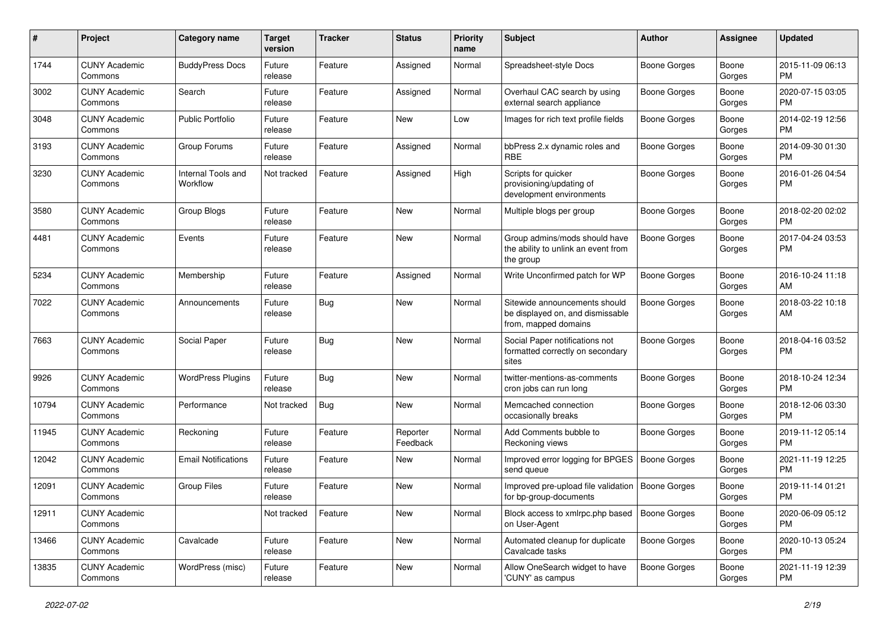| #     | Project                         | <b>Category name</b>           | <b>Target</b><br>version | <b>Tracker</b> | <b>Status</b>        | <b>Priority</b><br>name | Subject                                                                                   | Author              | <b>Assignee</b> | <b>Updated</b>                |
|-------|---------------------------------|--------------------------------|--------------------------|----------------|----------------------|-------------------------|-------------------------------------------------------------------------------------------|---------------------|-----------------|-------------------------------|
| 1744  | <b>CUNY Academic</b><br>Commons | <b>BuddyPress Docs</b>         | Future<br>release        | Feature        | Assigned             | Normal                  | Spreadsheet-style Docs                                                                    | Boone Gorges        | Boone<br>Gorges | 2015-11-09 06:13<br><b>PM</b> |
| 3002  | <b>CUNY Academic</b><br>Commons | Search                         | Future<br>release        | Feature        | Assigned             | Normal                  | Overhaul CAC search by using<br>external search appliance                                 | <b>Boone Gorges</b> | Boone<br>Gorges | 2020-07-15 03:05<br><b>PM</b> |
| 3048  | <b>CUNY Academic</b><br>Commons | <b>Public Portfolio</b>        | Future<br>release        | Feature        | New                  | Low                     | Images for rich text profile fields                                                       | Boone Gorges        | Boone<br>Gorges | 2014-02-19 12:56<br><b>PM</b> |
| 3193  | <b>CUNY Academic</b><br>Commons | Group Forums                   | Future<br>release        | Feature        | Assigned             | Normal                  | bbPress 2.x dynamic roles and<br><b>RBE</b>                                               | Boone Gorges        | Boone<br>Gorges | 2014-09-30 01:30<br><b>PM</b> |
| 3230  | <b>CUNY Academic</b><br>Commons | Internal Tools and<br>Workflow | Not tracked              | Feature        | Assigned             | High                    | Scripts for quicker<br>provisioning/updating of<br>development environments               | Boone Gorges        | Boone<br>Gorges | 2016-01-26 04:54<br><b>PM</b> |
| 3580  | <b>CUNY Academic</b><br>Commons | Group Blogs                    | Future<br>release        | Feature        | <b>New</b>           | Normal                  | Multiple blogs per group                                                                  | Boone Gorges        | Boone<br>Gorges | 2018-02-20 02:02<br><b>PM</b> |
| 4481  | <b>CUNY Academic</b><br>Commons | Events                         | Future<br>release        | Feature        | New                  | Normal                  | Group admins/mods should have<br>the ability to unlink an event from<br>the group         | <b>Boone Gorges</b> | Boone<br>Gorges | 2017-04-24 03:53<br><b>PM</b> |
| 5234  | <b>CUNY Academic</b><br>Commons | Membership                     | Future<br>release        | Feature        | Assigned             | Normal                  | Write Unconfirmed patch for WP                                                            | <b>Boone Gorges</b> | Boone<br>Gorges | 2016-10-24 11:18<br>AM        |
| 7022  | <b>CUNY Academic</b><br>Commons | Announcements                  | Future<br>release        | Bug            | New                  | Normal                  | Sitewide announcements should<br>be displayed on, and dismissable<br>from, mapped domains | <b>Boone Gorges</b> | Boone<br>Gorges | 2018-03-22 10:18<br>AM        |
| 7663  | <b>CUNY Academic</b><br>Commons | Social Paper                   | Future<br>release        | Bug            | <b>New</b>           | Normal                  | Social Paper notifications not<br>formatted correctly on secondary<br>sites               | <b>Boone Gorges</b> | Boone<br>Gorges | 2018-04-16 03:52<br><b>PM</b> |
| 9926  | <b>CUNY Academic</b><br>Commons | <b>WordPress Plugins</b>       | Future<br>release        | Bug            | <b>New</b>           | Normal                  | twitter-mentions-as-comments<br>cron jobs can run long                                    | <b>Boone Gorges</b> | Boone<br>Gorges | 2018-10-24 12:34<br><b>PM</b> |
| 10794 | <b>CUNY Academic</b><br>Commons | Performance                    | Not tracked              | Bug            | <b>New</b>           | Normal                  | Memcached connection<br>occasionally breaks                                               | <b>Boone Gorges</b> | Boone<br>Gorges | 2018-12-06 03:30<br><b>PM</b> |
| 11945 | <b>CUNY Academic</b><br>Commons | Reckoning                      | Future<br>release        | Feature        | Reporter<br>Feedback | Normal                  | Add Comments bubble to<br>Reckoning views                                                 | <b>Boone Gorges</b> | Boone<br>Gorges | 2019-11-12 05:14<br><b>PM</b> |
| 12042 | <b>CUNY Academic</b><br>Commons | <b>Email Notifications</b>     | Future<br>release        | Feature        | New                  | Normal                  | Improved error logging for BPGES<br>send queue                                            | Boone Gorges        | Boone<br>Gorges | 2021-11-19 12:25<br><b>PM</b> |
| 12091 | <b>CUNY Academic</b><br>Commons | <b>Group Files</b>             | Future<br>release        | Feature        | <b>New</b>           | Normal                  | Improved pre-upload file validation<br>for bp-group-documents                             | Boone Gorges        | Boone<br>Gorges | 2019-11-14 01:21<br><b>PM</b> |
| 12911 | <b>CUNY Academic</b><br>Commons |                                | Not tracked              | Feature        | New                  | Normal                  | Block access to xmlrpc.php based<br>on User-Agent                                         | Boone Gorges        | Boone<br>Gorges | 2020-06-09 05:12<br>PM.       |
| 13466 | <b>CUNY Academic</b><br>Commons | Cavalcade                      | Future<br>release        | Feature        | New                  | Normal                  | Automated cleanup for duplicate<br>Cavalcade tasks                                        | <b>Boone Gorges</b> | Boone<br>Gorges | 2020-10-13 05:24<br><b>PM</b> |
| 13835 | <b>CUNY Academic</b><br>Commons | WordPress (misc)               | Future<br>release        | Feature        | New                  | Normal                  | Allow OneSearch widget to have<br>'CUNY' as campus                                        | Boone Gorges        | Boone<br>Gorges | 2021-11-19 12:39<br><b>PM</b> |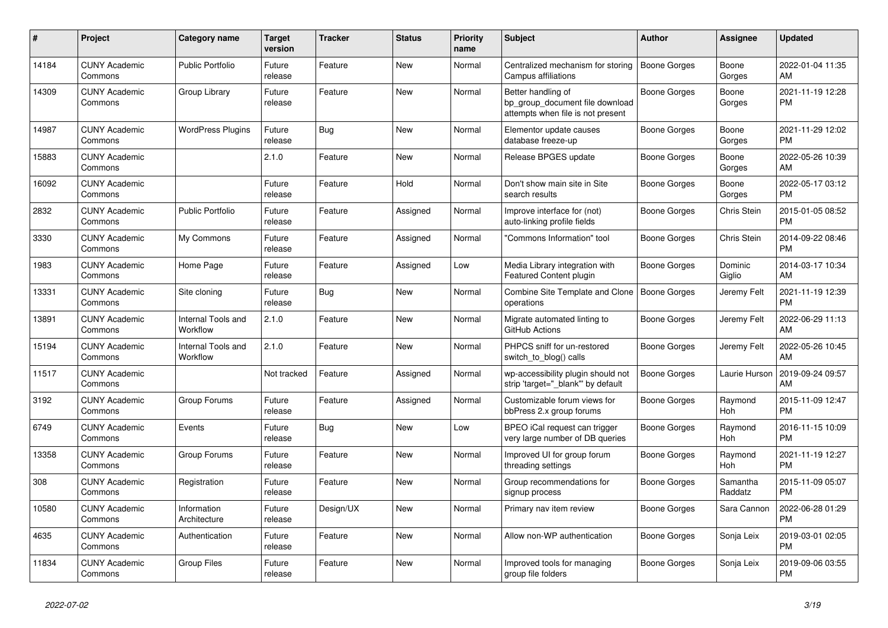| #     | <b>Project</b>                  | Category name                  | <b>Target</b><br>version | <b>Tracker</b> | <b>Status</b> | <b>Priority</b><br>name | <b>Subject</b>                                                                             | <b>Author</b>       | Assignee            | <b>Updated</b>                |
|-------|---------------------------------|--------------------------------|--------------------------|----------------|---------------|-------------------------|--------------------------------------------------------------------------------------------|---------------------|---------------------|-------------------------------|
| 14184 | <b>CUNY Academic</b><br>Commons | <b>Public Portfolio</b>        | Future<br>release        | Feature        | New           | Normal                  | Centralized mechanism for storing<br>Campus affiliations                                   | <b>Boone Gorges</b> | Boone<br>Gorges     | 2022-01-04 11:35<br>AM        |
| 14309 | <b>CUNY Academic</b><br>Commons | Group Library                  | Future<br>release        | Feature        | New           | Normal                  | Better handling of<br>bp group document file download<br>attempts when file is not present | <b>Boone Gorges</b> | Boone<br>Gorges     | 2021-11-19 12:28<br><b>PM</b> |
| 14987 | <b>CUNY Academic</b><br>Commons | <b>WordPress Plugins</b>       | Future<br>release        | <b>Bug</b>     | <b>New</b>    | Normal                  | Elementor update causes<br>database freeze-up                                              | Boone Gorges        | Boone<br>Gorges     | 2021-11-29 12:02<br><b>PM</b> |
| 15883 | <b>CUNY Academic</b><br>Commons |                                | 2.1.0                    | Feature        | <b>New</b>    | Normal                  | Release BPGES update                                                                       | Boone Gorges        | Boone<br>Gorges     | 2022-05-26 10:39<br>AM        |
| 16092 | <b>CUNY Academic</b><br>Commons |                                | Future<br>release        | Feature        | Hold          | Normal                  | Don't show main site in Site<br>search results                                             | Boone Gorges        | Boone<br>Gorges     | 2022-05-17 03:12<br><b>PM</b> |
| 2832  | <b>CUNY Academic</b><br>Commons | <b>Public Portfolio</b>        | Future<br>release        | Feature        | Assigned      | Normal                  | Improve interface for (not)<br>auto-linking profile fields                                 | Boone Gorges        | Chris Stein         | 2015-01-05 08:52<br><b>PM</b> |
| 3330  | <b>CUNY Academic</b><br>Commons | My Commons                     | Future<br>release        | Feature        | Assigned      | Normal                  | "Commons Information" tool                                                                 | Boone Gorges        | Chris Stein         | 2014-09-22 08:46<br><b>PM</b> |
| 1983  | <b>CUNY Academic</b><br>Commons | Home Page                      | Future<br>release        | Feature        | Assigned      | Low                     | Media Library integration with<br>Featured Content plugin                                  | Boone Gorges        | Dominic<br>Giglio   | 2014-03-17 10:34<br>AM        |
| 13331 | <b>CUNY Academic</b><br>Commons | Site cloning                   | Future<br>release        | Bug            | New           | Normal                  | Combine Site Template and Clone   Boone Gorges<br>operations                               |                     | Jeremy Felt         | 2021-11-19 12:39<br><b>PM</b> |
| 13891 | <b>CUNY Academic</b><br>Commons | Internal Tools and<br>Workflow | 2.1.0                    | Feature        | <b>New</b>    | Normal                  | Migrate automated linting to<br>GitHub Actions                                             | Boone Gorges        | Jeremy Felt         | 2022-06-29 11:13<br>AM        |
| 15194 | <b>CUNY Academic</b><br>Commons | Internal Tools and<br>Workflow | 2.1.0                    | Feature        | New           | Normal                  | PHPCS sniff for un-restored<br>switch to blog() calls                                      | Boone Gorges        | Jeremy Felt         | 2022-05-26 10:45<br>AM        |
| 11517 | <b>CUNY Academic</b><br>Commons |                                | Not tracked              | Feature        | Assigned      | Normal                  | wp-accessibility plugin should not<br>strip 'target="_blank" by default                    | Boone Gorges        | Laurie Hurson       | 2019-09-24 09:57<br>AM        |
| 3192  | <b>CUNY Academic</b><br>Commons | Group Forums                   | Future<br>release        | Feature        | Assigned      | Normal                  | Customizable forum views for<br>bbPress 2.x group forums                                   | Boone Gorges        | Raymond<br>Hoh      | 2015-11-09 12:47<br><b>PM</b> |
| 6749  | <b>CUNY Academic</b><br>Commons | Events                         | Future<br>release        | Bug            | New           | Low                     | BPEO iCal request can trigger<br>very large number of DB queries                           | Boone Gorges        | Raymond<br>Hoh      | 2016-11-15 10:09<br><b>PM</b> |
| 13358 | <b>CUNY Academic</b><br>Commons | Group Forums                   | Future<br>release        | Feature        | <b>New</b>    | Normal                  | Improved UI for group forum<br>threading settings                                          | Boone Gorges        | Raymond<br>Hoh      | 2021-11-19 12:27<br><b>PM</b> |
| 308   | <b>CUNY Academic</b><br>Commons | Registration                   | Future<br>release        | Feature        | <b>New</b>    | Normal                  | Group recommendations for<br>signup process                                                | Boone Gorges        | Samantha<br>Raddatz | 2015-11-09 05:07<br><b>PM</b> |
| 10580 | <b>CUNY Academic</b><br>Commons | Information<br>Architecture    | Future<br>release        | Design/UX      | <b>New</b>    | Normal                  | Primary nav item review                                                                    | Boone Gorges        | Sara Cannon         | 2022-06-28 01:29<br><b>PM</b> |
| 4635  | <b>CUNY Academic</b><br>Commons | Authentication                 | Future<br>release        | Feature        | New           | Normal                  | Allow non-WP authentication                                                                | Boone Gorges        | Sonja Leix          | 2019-03-01 02:05<br><b>PM</b> |
| 11834 | <b>CUNY Academic</b><br>Commons | <b>Group Files</b>             | Future<br>release        | Feature        | <b>New</b>    | Normal                  | Improved tools for managing<br>group file folders                                          | Boone Gorges        | Sonja Leix          | 2019-09-06 03:55<br><b>PM</b> |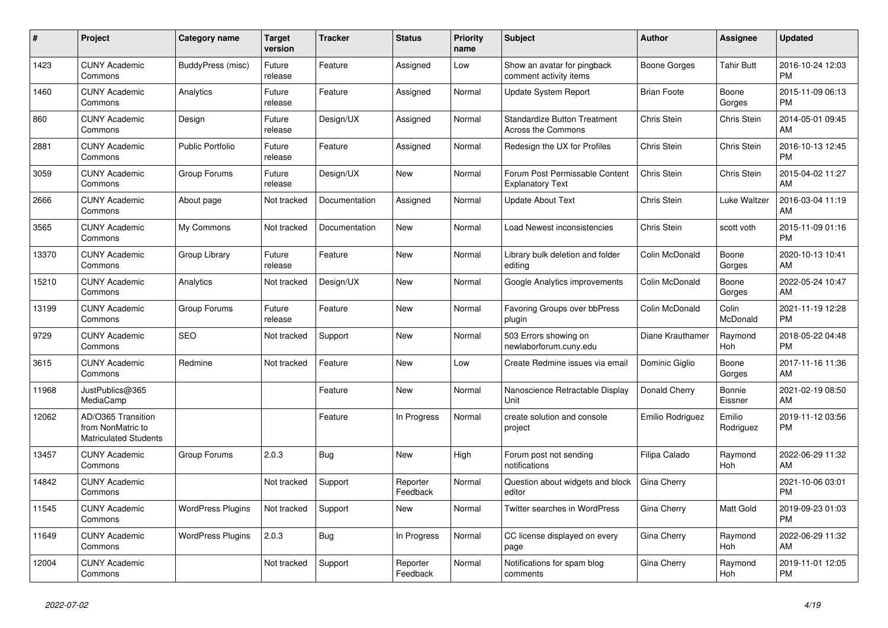| #     | Project                                                          | <b>Category name</b>     | <b>Target</b><br>version | <b>Tracker</b> | <b>Status</b>        | Priority<br>name | <b>Subject</b>                                            | <b>Author</b>      | Assignee            | <b>Updated</b>                |
|-------|------------------------------------------------------------------|--------------------------|--------------------------|----------------|----------------------|------------------|-----------------------------------------------------------|--------------------|---------------------|-------------------------------|
| 1423  | <b>CUNY Academic</b><br>Commons                                  | <b>BuddyPress (misc)</b> | Future<br>release        | Feature        | Assigned             | Low              | Show an avatar for pingback<br>comment activity items     | Boone Gorges       | <b>Tahir Butt</b>   | 2016-10-24 12:03<br><b>PM</b> |
| 1460  | <b>CUNY Academic</b><br>Commons                                  | Analytics                | Future<br>release        | Feature        | Assigned             | Normal           | <b>Update System Report</b>                               | <b>Brian Foote</b> | Boone<br>Gorges     | 2015-11-09 06:13<br><b>PM</b> |
| 860   | <b>CUNY Academic</b><br>Commons                                  | Design                   | Future<br>release        | Design/UX      | Assigned             | Normal           | <b>Standardize Button Treatment</b><br>Across the Commons | Chris Stein        | Chris Stein         | 2014-05-01 09:45<br>AM        |
| 2881  | <b>CUNY Academic</b><br>Commons                                  | <b>Public Portfolio</b>  | Future<br>release        | Feature        | Assigned             | Normal           | Redesign the UX for Profiles                              | Chris Stein        | Chris Stein         | 2016-10-13 12:45<br><b>PM</b> |
| 3059  | <b>CUNY Academic</b><br>Commons                                  | Group Forums             | Future<br>release        | Design/UX      | New                  | Normal           | Forum Post Permissable Content<br><b>Explanatory Text</b> | Chris Stein        | Chris Stein         | 2015-04-02 11:27<br>AM        |
| 2666  | <b>CUNY Academic</b><br>Commons                                  | About page               | Not tracked              | Documentation  | Assigned             | Normal           | <b>Update About Text</b>                                  | Chris Stein        | Luke Waltzer        | 2016-03-04 11:19<br>AM        |
| 3565  | <b>CUNY Academic</b><br>Commons                                  | My Commons               | Not tracked              | Documentation  | <b>New</b>           | Normal           | Load Newest inconsistencies                               | Chris Stein        | scott voth          | 2015-11-09 01:16<br><b>PM</b> |
| 13370 | <b>CUNY Academic</b><br>Commons                                  | Group Library            | Future<br>release        | Feature        | <b>New</b>           | Normal           | Library bulk deletion and folder<br>editing               | Colin McDonald     | Boone<br>Gorges     | 2020-10-13 10:41<br>AM        |
| 15210 | <b>CUNY Academic</b><br>Commons                                  | Analytics                | Not tracked              | Design/UX      | <b>New</b>           | Normal           | Google Analytics improvements                             | Colin McDonald     | Boone<br>Gorges     | 2022-05-24 10:47<br>AM        |
| 13199 | <b>CUNY Academic</b><br>Commons                                  | Group Forums             | Future<br>release        | Feature        | <b>New</b>           | Normal           | Favoring Groups over bbPress<br>plugin                    | Colin McDonald     | Colin<br>McDonald   | 2021-11-19 12:28<br><b>PM</b> |
| 9729  | <b>CUNY Academic</b><br>Commons                                  | <b>SEO</b>               | Not tracked              | Support        | <b>New</b>           | Normal           | 503 Errors showing on<br>newlaborforum.cuny.edu           | Diane Krauthamer   | Raymond<br>Hoh      | 2018-05-22 04:48<br><b>PM</b> |
| 3615  | <b>CUNY Academic</b><br>Commons                                  | Redmine                  | Not tracked              | Feature        | <b>New</b>           | Low              | Create Redmine issues via email                           | Dominic Giglio     | Boone<br>Gorges     | 2017-11-16 11:36<br>AM        |
| 11968 | JustPublics@365<br>MediaCamp                                     |                          |                          | Feature        | New                  | Normal           | Nanoscience Retractable Display<br>Unit                   | Donald Cherry      | Bonnie<br>Eissner   | 2021-02-19 08:50<br>AM        |
| 12062 | AD/O365 Transition<br>from NonMatric to<br>Matriculated Students |                          |                          | Feature        | In Progress          | Normal           | create solution and console<br>project                    | Emilio Rodriguez   | Emilio<br>Rodriguez | 2019-11-12 03:56<br><b>PM</b> |
| 13457 | <b>CUNY Academic</b><br>Commons                                  | Group Forums             | 2.0.3                    | <b>Bug</b>     | <b>New</b>           | High             | Forum post not sending<br>notifications                   | Filipa Calado      | Raymond<br>Hoh      | 2022-06-29 11:32<br>AM        |
| 14842 | <b>CUNY Academic</b><br>Commons                                  |                          | Not tracked              | Support        | Reporter<br>Feedback | Normal           | Question about widgets and block<br>editor                | Gina Cherry        |                     | 2021-10-06 03:01<br><b>PM</b> |
| 11545 | <b>CUNY Academic</b><br>Commons                                  | <b>WordPress Plugins</b> | Not tracked              | Support        | <b>New</b>           | Normal           | Twitter searches in WordPress                             | Gina Cherry        | Matt Gold           | 2019-09-23 01:03<br><b>PM</b> |
| 11649 | <b>CUNY Academic</b><br>Commons                                  | <b>WordPress Plugins</b> | 2.0.3                    | Bug            | In Progress          | Normal           | CC license displayed on every<br>page                     | Gina Cherry        | Raymond<br>Hoh      | 2022-06-29 11:32<br>AM        |
| 12004 | <b>CUNY Academic</b><br>Commons                                  |                          | Not tracked              | Support        | Reporter<br>Feedback | Normal           | Notifications for spam blog<br>comments                   | Gina Cherry        | Raymond<br>Hoh      | 2019-11-01 12:05<br><b>PM</b> |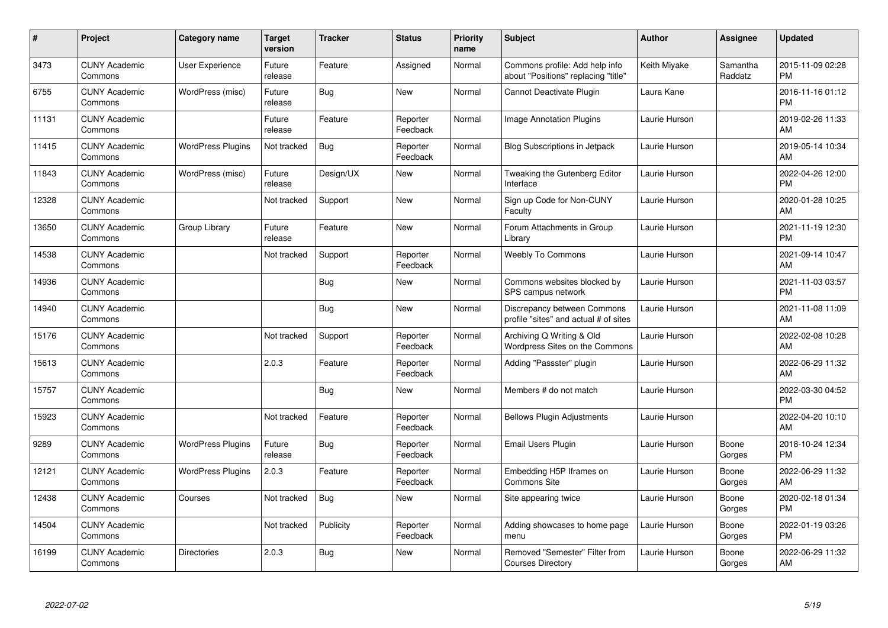| #     | Project                         | <b>Category name</b>     | <b>Target</b><br>version | <b>Tracker</b> | <b>Status</b>        | <b>Priority</b><br>name | <b>Subject</b>                                                        | <b>Author</b> | Assignee            | <b>Updated</b>                |
|-------|---------------------------------|--------------------------|--------------------------|----------------|----------------------|-------------------------|-----------------------------------------------------------------------|---------------|---------------------|-------------------------------|
| 3473  | <b>CUNY Academic</b><br>Commons | User Experience          | Future<br>release        | Feature        | Assigned             | Normal                  | Commons profile: Add help info<br>about "Positions" replacing "title" | Keith Miyake  | Samantha<br>Raddatz | 2015-11-09 02:28<br><b>PM</b> |
| 6755  | <b>CUNY Academic</b><br>Commons | WordPress (misc)         | Future<br>release        | Bug            | New                  | Normal                  | <b>Cannot Deactivate Plugin</b>                                       | Laura Kane    |                     | 2016-11-16 01:12<br><b>PM</b> |
| 11131 | <b>CUNY Academic</b><br>Commons |                          | Future<br>release        | Feature        | Reporter<br>Feedback | Normal                  | Image Annotation Plugins                                              | Laurie Hurson |                     | 2019-02-26 11:33<br>AM        |
| 11415 | <b>CUNY Academic</b><br>Commons | <b>WordPress Plugins</b> | Not tracked              | Bug            | Reporter<br>Feedback | Normal                  | Blog Subscriptions in Jetpack                                         | Laurie Hurson |                     | 2019-05-14 10:34<br>AM        |
| 11843 | <b>CUNY Academic</b><br>Commons | WordPress (misc)         | Future<br>release        | Design/UX      | <b>New</b>           | Normal                  | Tweaking the Gutenberg Editor<br>Interface                            | Laurie Hurson |                     | 2022-04-26 12:00<br><b>PM</b> |
| 12328 | <b>CUNY Academic</b><br>Commons |                          | Not tracked              | Support        | <b>New</b>           | Normal                  | Sign up Code for Non-CUNY<br>Faculty                                  | Laurie Hurson |                     | 2020-01-28 10:25<br>AM        |
| 13650 | <b>CUNY Academic</b><br>Commons | Group Library            | Future<br>release        | Feature        | <b>New</b>           | Normal                  | Forum Attachments in Group<br>Library                                 | Laurie Hurson |                     | 2021-11-19 12:30<br><b>PM</b> |
| 14538 | <b>CUNY Academic</b><br>Commons |                          | Not tracked              | Support        | Reporter<br>Feedback | Normal                  | <b>Weebly To Commons</b>                                              | Laurie Hurson |                     | 2021-09-14 10:47<br>AM        |
| 14936 | <b>CUNY Academic</b><br>Commons |                          |                          | Bug            | <b>New</b>           | Normal                  | Commons websites blocked by<br>SPS campus network                     | Laurie Hurson |                     | 2021-11-03 03:57<br><b>PM</b> |
| 14940 | <b>CUNY Academic</b><br>Commons |                          |                          | Bug            | <b>New</b>           | Normal                  | Discrepancy between Commons<br>profile "sites" and actual # of sites  | Laurie Hurson |                     | 2021-11-08 11:09<br>AM        |
| 15176 | <b>CUNY Academic</b><br>Commons |                          | Not tracked              | Support        | Reporter<br>Feedback | Normal                  | Archiving Q Writing & Old<br>Wordpress Sites on the Commons           | Laurie Hurson |                     | 2022-02-08 10:28<br>AM        |
| 15613 | <b>CUNY Academic</b><br>Commons |                          | 2.0.3                    | Feature        | Reporter<br>Feedback | Normal                  | Adding "Passster" plugin                                              | Laurie Hurson |                     | 2022-06-29 11:32<br>AM        |
| 15757 | <b>CUNY Academic</b><br>Commons |                          |                          | Bug            | New                  | Normal                  | Members # do not match                                                | Laurie Hurson |                     | 2022-03-30 04:52<br><b>PM</b> |
| 15923 | <b>CUNY Academic</b><br>Commons |                          | Not tracked              | Feature        | Reporter<br>Feedback | Normal                  | <b>Bellows Plugin Adjustments</b>                                     | Laurie Hurson |                     | 2022-04-20 10:10<br>AM        |
| 9289  | <b>CUNY Academic</b><br>Commons | <b>WordPress Plugins</b> | Future<br>release        | Bug            | Reporter<br>Feedback | Normal                  | Email Users Plugin                                                    | Laurie Hurson | Boone<br>Gorges     | 2018-10-24 12:34<br><b>PM</b> |
| 12121 | <b>CUNY Academic</b><br>Commons | <b>WordPress Plugins</b> | 2.0.3                    | Feature        | Reporter<br>Feedback | Normal                  | Embedding H5P Iframes on<br><b>Commons Site</b>                       | Laurie Hurson | Boone<br>Gorges     | 2022-06-29 11:32<br>AM        |
| 12438 | <b>CUNY Academic</b><br>Commons | Courses                  | Not tracked              | Bug            | New                  | Normal                  | Site appearing twice                                                  | Laurie Hurson | Boone<br>Gorges     | 2020-02-18 01:34<br><b>PM</b> |
| 14504 | <b>CUNY Academic</b><br>Commons |                          | Not tracked              | Publicity      | Reporter<br>Feedback | Normal                  | Adding showcases to home page<br>menu                                 | Laurie Hurson | Boone<br>Gorges     | 2022-01-19 03:26<br><b>PM</b> |
| 16199 | <b>CUNY Academic</b><br>Commons | <b>Directories</b>       | 2.0.3                    | Bug            | <b>New</b>           | Normal                  | Removed "Semester" Filter from<br><b>Courses Directory</b>            | Laurie Hurson | Boone<br>Gorges     | 2022-06-29 11:32<br>AM        |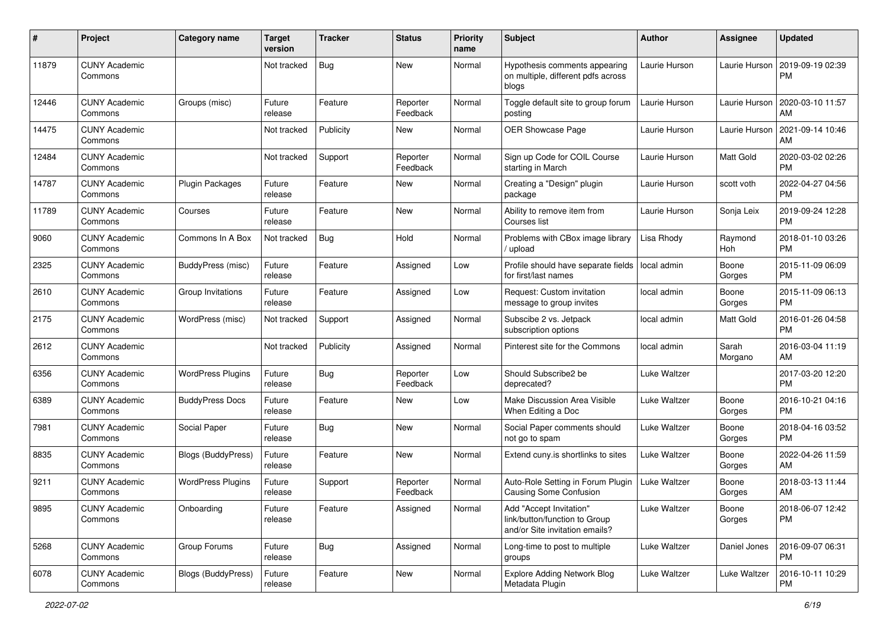| #     | Project                         | <b>Category name</b>     | <b>Target</b><br>version | <b>Tracker</b> | <b>Status</b>        | Priority<br>name | <b>Subject</b>                                                                             | Author        | <b>Assignee</b>  | <b>Updated</b>                |
|-------|---------------------------------|--------------------------|--------------------------|----------------|----------------------|------------------|--------------------------------------------------------------------------------------------|---------------|------------------|-------------------------------|
| 11879 | <b>CUNY Academic</b><br>Commons |                          | Not tracked              | Bug            | <b>New</b>           | Normal           | Hypothesis comments appearing<br>on multiple, different pdfs across<br>blogs               | Laurie Hurson | Laurie Hurson    | 2019-09-19 02:39<br><b>PM</b> |
| 12446 | <b>CUNY Academic</b><br>Commons | Groups (misc)            | Future<br>release        | Feature        | Reporter<br>Feedback | Normal           | Toggle default site to group forum<br>posting                                              | Laurie Hurson | Laurie Hurson    | 2020-03-10 11:57<br>AM        |
| 14475 | <b>CUNY Academic</b><br>Commons |                          | Not tracked              | Publicity      | New                  | Normal           | OER Showcase Page                                                                          | Laurie Hurson | Laurie Hurson    | 2021-09-14 10:46<br>AM        |
| 12484 | <b>CUNY Academic</b><br>Commons |                          | Not tracked              | Support        | Reporter<br>Feedback | Normal           | Sign up Code for COIL Course<br>starting in March                                          | Laurie Hurson | Matt Gold        | 2020-03-02 02:26<br><b>PM</b> |
| 14787 | <b>CUNY Academic</b><br>Commons | Plugin Packages          | Future<br>release        | Feature        | New                  | Normal           | Creating a "Design" plugin<br>package                                                      | Laurie Hurson | scott voth       | 2022-04-27 04:56<br><b>PM</b> |
| 11789 | <b>CUNY Academic</b><br>Commons | Courses                  | Future<br>release        | Feature        | New                  | Normal           | Ability to remove item from<br>Courses list                                                | Laurie Hurson | Sonja Leix       | 2019-09-24 12:28<br><b>PM</b> |
| 9060  | <b>CUNY Academic</b><br>Commons | Commons In A Box         | Not tracked              | Bug            | Hold                 | Normal           | Problems with CBox image library<br>/ upload                                               | Lisa Rhody    | Raymond<br>Hoh   | 2018-01-10 03:26<br><b>PM</b> |
| 2325  | <b>CUNY Academic</b><br>Commons | BuddyPress (misc)        | Future<br>release        | Feature        | Assigned             | Low              | Profile should have separate fields<br>for first/last names                                | local admin   | Boone<br>Gorges  | 2015-11-09 06:09<br><b>PM</b> |
| 2610  | <b>CUNY Academic</b><br>Commons | Group Invitations        | Future<br>release        | Feature        | Assigned             | Low              | Request: Custom invitation<br>message to group invites                                     | local admin   | Boone<br>Gorges  | 2015-11-09 06:13<br><b>PM</b> |
| 2175  | <b>CUNY Academic</b><br>Commons | WordPress (misc)         | Not tracked              | Support        | Assigned             | Normal           | Subscibe 2 vs. Jetpack<br>subscription options                                             | local admin   | Matt Gold        | 2016-01-26 04:58<br><b>PM</b> |
| 2612  | <b>CUNY Academic</b><br>Commons |                          | Not tracked              | Publicity      | Assigned             | Normal           | Pinterest site for the Commons                                                             | local admin   | Sarah<br>Morgano | 2016-03-04 11:19<br>AM        |
| 6356  | <b>CUNY Academic</b><br>Commons | <b>WordPress Plugins</b> | Future<br>release        | Bug            | Reporter<br>Feedback | Low              | Should Subscribe2 be<br>deprecated?                                                        | Luke Waltzer  |                  | 2017-03-20 12:20<br><b>PM</b> |
| 6389  | <b>CUNY Academic</b><br>Commons | <b>BuddyPress Docs</b>   | Future<br>release        | Feature        | New                  | Low              | Make Discussion Area Visible<br>When Editing a Doc                                         | Luke Waltzer  | Boone<br>Gorges  | 2016-10-21 04:16<br><b>PM</b> |
| 7981  | <b>CUNY Academic</b><br>Commons | Social Paper             | Future<br>release        | <b>Bug</b>     | New                  | Normal           | Social Paper comments should<br>not go to spam                                             | Luke Waltzer  | Boone<br>Gorges  | 2018-04-16 03:52<br><b>PM</b> |
| 8835  | <b>CUNY Academic</b><br>Commons | Blogs (BuddyPress)       | Future<br>release        | Feature        | New                  | Normal           | Extend cuny is shortlinks to sites                                                         | Luke Waltzer  | Boone<br>Gorges  | 2022-04-26 11:59<br>AM        |
| 9211  | <b>CUNY Academic</b><br>Commons | <b>WordPress Plugins</b> | Future<br>release        | Support        | Reporter<br>Feedback | Normal           | Auto-Role Setting in Forum Plugin<br><b>Causing Some Confusion</b>                         | Luke Waltzer  | Boone<br>Gorges  | 2018-03-13 11:44<br>AM        |
| 9895  | <b>CUNY Academic</b><br>Commons | Onboarding               | Future<br>release        | Feature        | Assigned             | Normal           | Add "Accept Invitation"<br>link/button/function to Group<br>and/or Site invitation emails? | Luke Waltzer  | Boone<br>Gorges  | 2018-06-07 12:42<br><b>PM</b> |
| 5268  | <b>CUNY Academic</b><br>Commons | Group Forums             | Future<br>release        | <b>Bug</b>     | Assigned             | Normal           | Long-time to post to multiple<br>groups                                                    | Luke Waltzer  | Daniel Jones     | 2016-09-07 06:31<br><b>PM</b> |
| 6078  | <b>CUNY Academic</b><br>Commons | Blogs (BuddyPress)       | Future<br>release        | Feature        | New                  | Normal           | <b>Explore Adding Network Blog</b><br>Metadata Plugin                                      | Luke Waltzer  | Luke Waltzer     | 2016-10-11 10:29<br><b>PM</b> |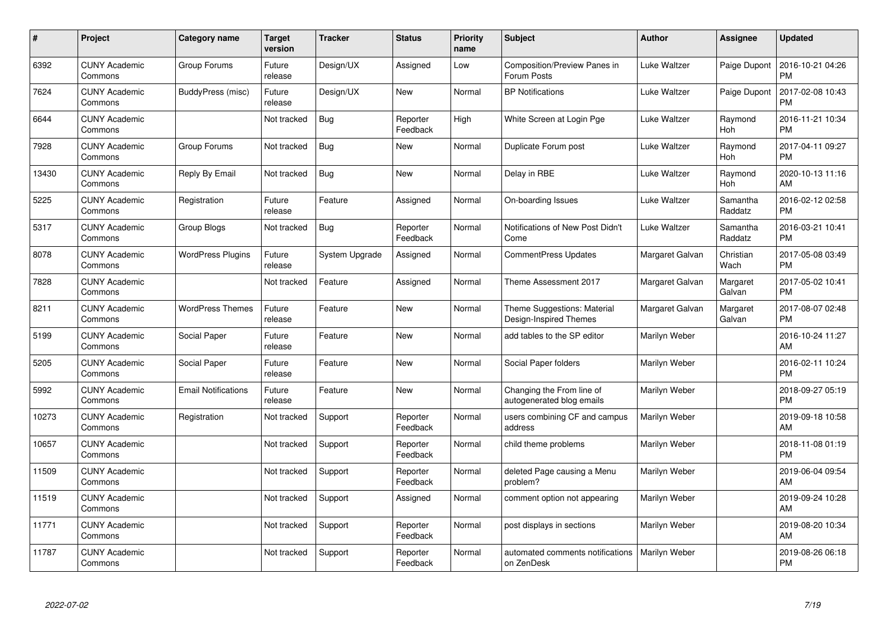| #     | Project                         | <b>Category name</b>       | <b>Target</b><br>version | <b>Tracker</b> | <b>Status</b>        | Priority<br>name | <b>Subject</b>                                         | <b>Author</b>   | Assignee            | <b>Updated</b>                |
|-------|---------------------------------|----------------------------|--------------------------|----------------|----------------------|------------------|--------------------------------------------------------|-----------------|---------------------|-------------------------------|
| 6392  | <b>CUNY Academic</b><br>Commons | Group Forums               | Future<br>release        | Design/UX      | Assigned             | Low              | Composition/Preview Panes in<br>Forum Posts            | Luke Waltzer    | Paige Dupont        | 2016-10-21 04:26<br><b>PM</b> |
| 7624  | <b>CUNY Academic</b><br>Commons | BuddyPress (misc)          | Future<br>release        | Design/UX      | New                  | Normal           | <b>BP Notifications</b>                                | Luke Waltzer    | Paige Dupont        | 2017-02-08 10:43<br><b>PM</b> |
| 6644  | <b>CUNY Academic</b><br>Commons |                            | Not tracked              | Bug            | Reporter<br>Feedback | High             | White Screen at Login Pge                              | Luke Waltzer    | Raymond<br>Hoh      | 2016-11-21 10:34<br><b>PM</b> |
| 7928  | <b>CUNY Academic</b><br>Commons | Group Forums               | Not tracked              | <b>Bug</b>     | New                  | Normal           | Duplicate Forum post                                   | Luke Waltzer    | Raymond<br>Hoh      | 2017-04-11 09:27<br><b>PM</b> |
| 13430 | <b>CUNY Academic</b><br>Commons | Reply By Email             | Not tracked              | <b>Bug</b>     | <b>New</b>           | Normal           | Delay in RBE                                           | Luke Waltzer    | Raymond<br>Hoh      | 2020-10-13 11:16<br>AM        |
| 5225  | <b>CUNY Academic</b><br>Commons | Registration               | Future<br>release        | Feature        | Assigned             | Normal           | On-boarding Issues                                     | Luke Waltzer    | Samantha<br>Raddatz | 2016-02-12 02:58<br><b>PM</b> |
| 5317  | <b>CUNY Academic</b><br>Commons | Group Blogs                | Not tracked              | Bug            | Reporter<br>Feedback | Normal           | Notifications of New Post Didn't<br>Come               | Luke Waltzer    | Samantha<br>Raddatz | 2016-03-21 10:41<br><b>PM</b> |
| 8078  | <b>CUNY Academic</b><br>Commons | <b>WordPress Plugins</b>   | Future<br>release        | System Upgrade | Assigned             | Normal           | <b>CommentPress Updates</b>                            | Margaret Galvan | Christian<br>Wach   | 2017-05-08 03:49<br><b>PM</b> |
| 7828  | <b>CUNY Academic</b><br>Commons |                            | Not tracked              | Feature        | Assigned             | Normal           | Theme Assessment 2017                                  | Margaret Galvan | Margaret<br>Galvan  | 2017-05-02 10:41<br><b>PM</b> |
| 8211  | <b>CUNY Academic</b><br>Commons | <b>WordPress Themes</b>    | Future<br>release        | Feature        | <b>New</b>           | Normal           | Theme Suggestions: Material<br>Design-Inspired Themes  | Margaret Galvan | Margaret<br>Galvan  | 2017-08-07 02:48<br>PM        |
| 5199  | <b>CUNY Academic</b><br>Commons | Social Paper               | Future<br>release        | Feature        | New                  | Normal           | add tables to the SP editor                            | Marilyn Weber   |                     | 2016-10-24 11:27<br>AM        |
| 5205  | <b>CUNY Academic</b><br>Commons | Social Paper               | Future<br>release        | Feature        | <b>New</b>           | Normal           | Social Paper folders                                   | Marilyn Weber   |                     | 2016-02-11 10:24<br><b>PM</b> |
| 5992  | <b>CUNY Academic</b><br>Commons | <b>Email Notifications</b> | Future<br>release        | Feature        | New                  | Normal           | Changing the From line of<br>autogenerated blog emails | Marilyn Weber   |                     | 2018-09-27 05:19<br><b>PM</b> |
| 10273 | <b>CUNY Academic</b><br>Commons | Registration               | Not tracked              | Support        | Reporter<br>Feedback | Normal           | users combining CF and campus<br>address               | Marilyn Weber   |                     | 2019-09-18 10:58<br>AM.       |
| 10657 | <b>CUNY Academic</b><br>Commons |                            | Not tracked              | Support        | Reporter<br>Feedback | Normal           | child theme problems                                   | Marilyn Weber   |                     | 2018-11-08 01:19<br><b>PM</b> |
| 11509 | <b>CUNY Academic</b><br>Commons |                            | Not tracked              | Support        | Reporter<br>Feedback | Normal           | deleted Page causing a Menu<br>problem?                | Marilyn Weber   |                     | 2019-06-04 09:54<br>AM        |
| 11519 | <b>CUNY Academic</b><br>Commons |                            | Not tracked              | Support        | Assigned             | Normal           | comment option not appearing                           | Marilyn Weber   |                     | 2019-09-24 10:28<br>AM        |
| 11771 | <b>CUNY Academic</b><br>Commons |                            | Not tracked              | Support        | Reporter<br>Feedback | Normal           | post displays in sections                              | Marilyn Weber   |                     | 2019-08-20 10:34<br>AM        |
| 11787 | <b>CUNY Academic</b><br>Commons |                            | Not tracked              | Support        | Reporter<br>Feedback | Normal           | automated comments notifications<br>on ZenDesk         | Marilyn Weber   |                     | 2019-08-26 06:18<br>PM        |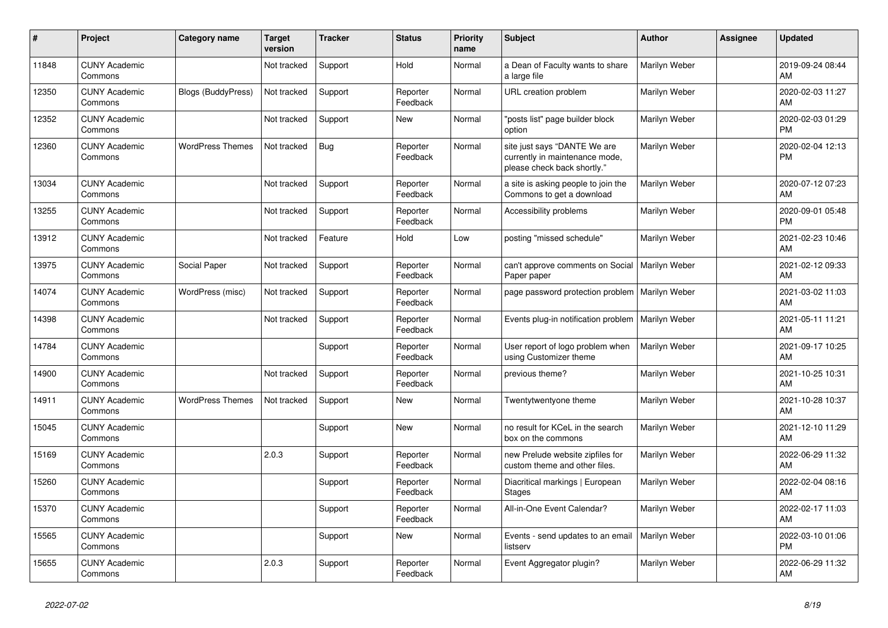| $\vert$ # | <b>Project</b>                  | Category name             | <b>Target</b><br>version | <b>Tracker</b> | <b>Status</b>        | <b>Priority</b><br>name | <b>Subject</b>                                                                                | <b>Author</b> | Assignee | <b>Updated</b>                |
|-----------|---------------------------------|---------------------------|--------------------------|----------------|----------------------|-------------------------|-----------------------------------------------------------------------------------------------|---------------|----------|-------------------------------|
| 11848     | <b>CUNY Academic</b><br>Commons |                           | Not tracked              | Support        | Hold                 | Normal                  | a Dean of Faculty wants to share<br>a large file                                              | Marilyn Weber |          | 2019-09-24 08:44<br>AM        |
| 12350     | <b>CUNY Academic</b><br>Commons | <b>Blogs (BuddyPress)</b> | Not tracked              | Support        | Reporter<br>Feedback | Normal                  | URL creation problem                                                                          | Marilyn Weber |          | 2020-02-03 11:27<br>AM        |
| 12352     | <b>CUNY Academic</b><br>Commons |                           | Not tracked              | Support        | <b>New</b>           | Normal                  | "posts list" page builder block<br>option                                                     | Marilyn Weber |          | 2020-02-03 01:29<br><b>PM</b> |
| 12360     | <b>CUNY Academic</b><br>Commons | <b>WordPress Themes</b>   | Not tracked              | Bug            | Reporter<br>Feedback | Normal                  | site just says "DANTE We are<br>currently in maintenance mode,<br>please check back shortly." | Marilyn Weber |          | 2020-02-04 12:13<br><b>PM</b> |
| 13034     | <b>CUNY Academic</b><br>Commons |                           | Not tracked              | Support        | Reporter<br>Feedback | Normal                  | a site is asking people to join the<br>Commons to get a download                              | Marilyn Weber |          | 2020-07-12 07:23<br>AM        |
| 13255     | <b>CUNY Academic</b><br>Commons |                           | Not tracked              | Support        | Reporter<br>Feedback | Normal                  | Accessibility problems                                                                        | Marilyn Weber |          | 2020-09-01 05:48<br><b>PM</b> |
| 13912     | <b>CUNY Academic</b><br>Commons |                           | Not tracked              | Feature        | Hold                 | Low                     | posting "missed schedule"                                                                     | Marilyn Weber |          | 2021-02-23 10:46<br>AM        |
| 13975     | <b>CUNY Academic</b><br>Commons | Social Paper              | Not tracked              | Support        | Reporter<br>Feedback | Normal                  | can't approve comments on Social<br>Paper paper                                               | Marilyn Weber |          | 2021-02-12 09:33<br>AM        |
| 14074     | <b>CUNY Academic</b><br>Commons | WordPress (misc)          | Not tracked              | Support        | Reporter<br>Feedback | Normal                  | page password protection problem   Marilyn Weber                                              |               |          | 2021-03-02 11:03<br>AM        |
| 14398     | <b>CUNY Academic</b><br>Commons |                           | Not tracked              | Support        | Reporter<br>Feedback | Normal                  | Events plug-in notification problem                                                           | Marilyn Weber |          | 2021-05-11 11:21<br>AM        |
| 14784     | <b>CUNY Academic</b><br>Commons |                           |                          | Support        | Reporter<br>Feedback | Normal                  | User report of logo problem when<br>using Customizer theme                                    | Marilyn Weber |          | 2021-09-17 10:25<br>AM        |
| 14900     | <b>CUNY Academic</b><br>Commons |                           | Not tracked              | Support        | Reporter<br>Feedback | Normal                  | previous theme?                                                                               | Marilyn Weber |          | 2021-10-25 10:31<br>AM        |
| 14911     | <b>CUNY Academic</b><br>Commons | <b>WordPress Themes</b>   | Not tracked              | Support        | <b>New</b>           | Normal                  | Twentytwentyone theme                                                                         | Marilyn Weber |          | 2021-10-28 10:37<br>AM        |
| 15045     | <b>CUNY Academic</b><br>Commons |                           |                          | Support        | New                  | Normal                  | no result for KCeL in the search<br>box on the commons                                        | Marilyn Weber |          | 2021-12-10 11:29<br>AM        |
| 15169     | <b>CUNY Academic</b><br>Commons |                           | 2.0.3                    | Support        | Reporter<br>Feedback | Normal                  | new Prelude website zipfiles for<br>custom theme and other files.                             | Marilyn Weber |          | 2022-06-29 11:32<br>AM        |
| 15260     | <b>CUNY Academic</b><br>Commons |                           |                          | Support        | Reporter<br>Feedback | Normal                  | Diacritical markings   European<br><b>Stages</b>                                              | Marilyn Weber |          | 2022-02-04 08:16<br>AM        |
| 15370     | <b>CUNY Academic</b><br>Commons |                           |                          | Support        | Reporter<br>Feedback | Normal                  | All-in-One Event Calendar?                                                                    | Marilyn Weber |          | 2022-02-17 11:03<br>AM        |
| 15565     | <b>CUNY Academic</b><br>Commons |                           |                          | Support        | <b>New</b>           | Normal                  | Events - send updates to an email<br>listserv                                                 | Marilyn Weber |          | 2022-03-10 01:06<br><b>PM</b> |
| 15655     | <b>CUNY Academic</b><br>Commons |                           | 2.0.3                    | Support        | Reporter<br>Feedback | Normal                  | Event Aggregator plugin?                                                                      | Marilyn Weber |          | 2022-06-29 11:32<br>AM        |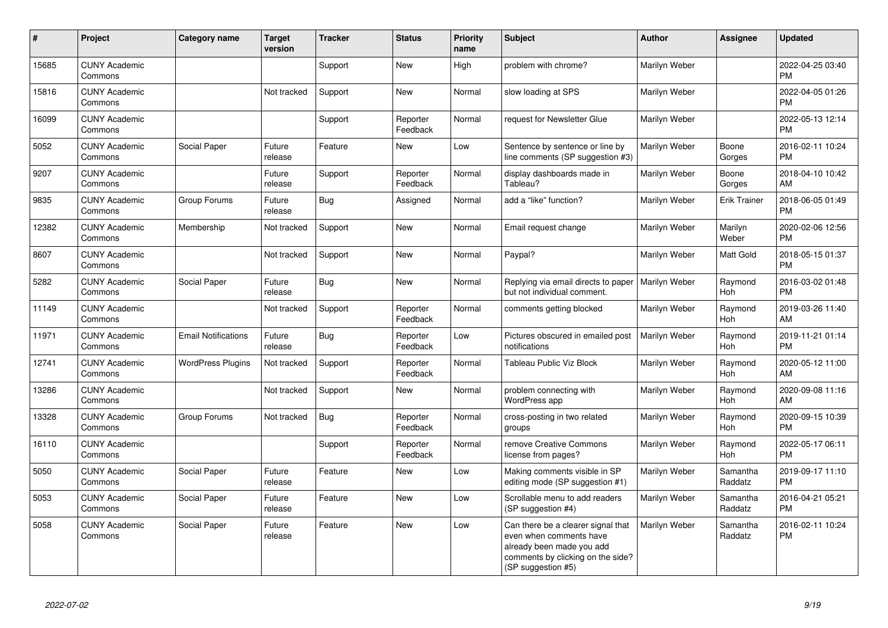| #     | Project                         | Category name              | <b>Target</b><br>version | <b>Tracker</b> | <b>Status</b>        | Priority<br>name | <b>Subject</b>                                                                                                                                        | <b>Author</b> | Assignee            | <b>Updated</b>                |
|-------|---------------------------------|----------------------------|--------------------------|----------------|----------------------|------------------|-------------------------------------------------------------------------------------------------------------------------------------------------------|---------------|---------------------|-------------------------------|
| 15685 | <b>CUNY Academic</b><br>Commons |                            |                          | Support        | New                  | High             | problem with chrome?                                                                                                                                  | Marilyn Weber |                     | 2022-04-25 03:40<br><b>PM</b> |
| 15816 | <b>CUNY Academic</b><br>Commons |                            | Not tracked              | Support        | New                  | Normal           | slow loading at SPS                                                                                                                                   | Marilyn Weber |                     | 2022-04-05 01:26<br>PM.       |
| 16099 | <b>CUNY Academic</b><br>Commons |                            |                          | Support        | Reporter<br>Feedback | Normal           | request for Newsletter Glue                                                                                                                           | Marilyn Weber |                     | 2022-05-13 12:14<br><b>PM</b> |
| 5052  | <b>CUNY Academic</b><br>Commons | Social Paper               | Future<br>release        | Feature        | New                  | Low              | Sentence by sentence or line by<br>line comments (SP suggestion #3)                                                                                   | Marilyn Weber | Boone<br>Gorges     | 2016-02-11 10:24<br><b>PM</b> |
| 9207  | <b>CUNY Academic</b><br>Commons |                            | Future<br>release        | Support        | Reporter<br>Feedback | Normal           | display dashboards made in<br>Tableau?                                                                                                                | Marilyn Weber | Boone<br>Gorges     | 2018-04-10 10:42<br>AM        |
| 9835  | <b>CUNY Academic</b><br>Commons | Group Forums               | Future<br>release        | <b>Bug</b>     | Assigned             | Normal           | add a "like" function?                                                                                                                                | Marilyn Weber | <b>Erik Trainer</b> | 2018-06-05 01:49<br><b>PM</b> |
| 12382 | <b>CUNY Academic</b><br>Commons | Membership                 | Not tracked              | Support        | <b>New</b>           | Normal           | Email request change                                                                                                                                  | Marilyn Weber | Marilyn<br>Weber    | 2020-02-06 12:56<br><b>PM</b> |
| 8607  | <b>CUNY Academic</b><br>Commons |                            | Not tracked              | Support        | <b>New</b>           | Normal           | Paypal?                                                                                                                                               | Marilyn Weber | Matt Gold           | 2018-05-15 01:37<br><b>PM</b> |
| 5282  | <b>CUNY Academic</b><br>Commons | Social Paper               | Future<br>release        | Bug            | New                  | Normal           | Replying via email directs to paper<br>but not individual comment.                                                                                    | Marilyn Weber | Raymond<br>Hoh      | 2016-03-02 01:48<br>PM        |
| 11149 | <b>CUNY Academic</b><br>Commons |                            | Not tracked              | Support        | Reporter<br>Feedback | Normal           | comments getting blocked                                                                                                                              | Marilyn Weber | Raymond<br>Hoh      | 2019-03-26 11:40<br>AM        |
| 11971 | <b>CUNY Academic</b><br>Commons | <b>Email Notifications</b> | Future<br>release        | Bug            | Reporter<br>Feedback | Low              | Pictures obscured in emailed post<br>notifications                                                                                                    | Marilyn Weber | Raymond<br>Hoh      | 2019-11-21 01:14<br><b>PM</b> |
| 12741 | <b>CUNY Academic</b><br>Commons | <b>WordPress Plugins</b>   | Not tracked              | Support        | Reporter<br>Feedback | Normal           | <b>Tableau Public Viz Block</b>                                                                                                                       | Marilyn Weber | Raymond<br>Hoh      | 2020-05-12 11:00<br><b>AM</b> |
| 13286 | <b>CUNY Academic</b><br>Commons |                            | Not tracked              | Support        | <b>New</b>           | Normal           | problem connecting with<br>WordPress app                                                                                                              | Marilyn Weber | Raymond<br>Hoh      | 2020-09-08 11:16<br><b>AM</b> |
| 13328 | <b>CUNY Academic</b><br>Commons | Group Forums               | Not tracked              | Bug            | Reporter<br>Feedback | Normal           | cross-posting in two related<br>groups                                                                                                                | Marilyn Weber | Raymond<br>Hoh      | 2020-09-15 10:39<br><b>PM</b> |
| 16110 | <b>CUNY Academic</b><br>Commons |                            |                          | Support        | Reporter<br>Feedback | Normal           | remove Creative Commons<br>license from pages?                                                                                                        | Marilyn Weber | Raymond<br>Hoh      | 2022-05-17 06:11<br><b>PM</b> |
| 5050  | <b>CUNY Academic</b><br>Commons | Social Paper               | Future<br>release        | Feature        | <b>New</b>           | Low              | Making comments visible in SP<br>editing mode (SP suggestion #1)                                                                                      | Marilyn Weber | Samantha<br>Raddatz | 2019-09-17 11:10<br><b>PM</b> |
| 5053  | <b>CUNY Academic</b><br>Commons | Social Paper               | Future<br>release        | Feature        | New                  | Low              | Scrollable menu to add readers<br>(SP suggestion #4)                                                                                                  | Marilyn Weber | Samantha<br>Raddatz | 2016-04-21 05:21<br>PM        |
| 5058  | <b>CUNY Academic</b><br>Commons | Social Paper               | Future<br>release        | Feature        | New                  | Low              | Can there be a clearer signal that<br>even when comments have<br>already been made you add<br>comments by clicking on the side?<br>(SP suggestion #5) | Marilyn Weber | Samantha<br>Raddatz | 2016-02-11 10:24<br><b>PM</b> |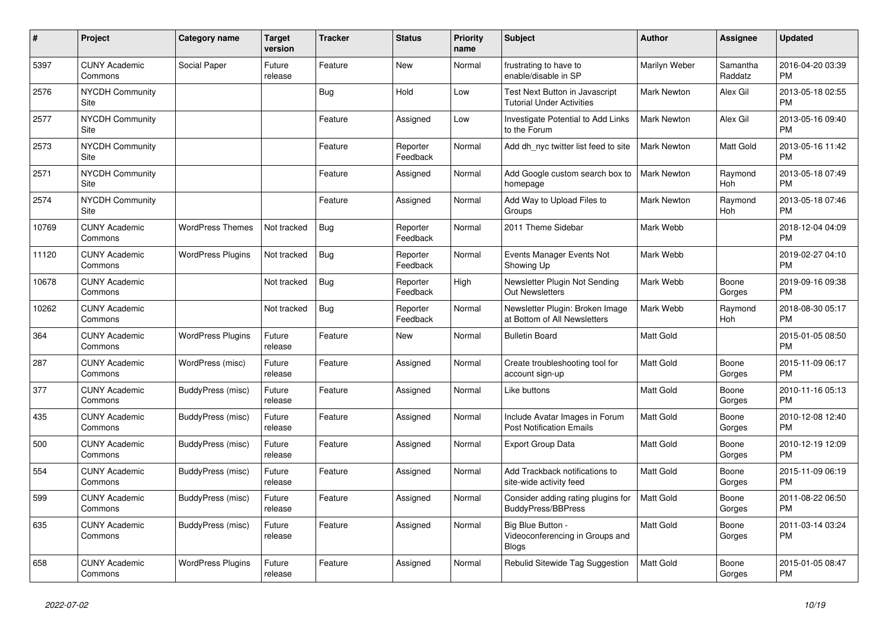| $\pmb{\#}$ | <b>Project</b>                  | Category name            | <b>Target</b><br>version | <b>Tracker</b> | <b>Status</b>        | <b>Priority</b><br>name | <b>Subject</b>                                                       | <b>Author</b>      | Assignee            | <b>Updated</b>                |
|------------|---------------------------------|--------------------------|--------------------------|----------------|----------------------|-------------------------|----------------------------------------------------------------------|--------------------|---------------------|-------------------------------|
| 5397       | <b>CUNY Academic</b><br>Commons | Social Paper             | Future<br>release        | Feature        | New                  | Normal                  | frustrating to have to<br>enable/disable in SP                       | Marilyn Weber      | Samantha<br>Raddatz | 2016-04-20 03:39<br><b>PM</b> |
| 2576       | <b>NYCDH Community</b><br>Site  |                          |                          | Bug            | Hold                 | Low                     | Test Next Button in Javascript<br><b>Tutorial Under Activities</b>   | <b>Mark Newton</b> | Alex Gil            | 2013-05-18 02:55<br><b>PM</b> |
| 2577       | <b>NYCDH Community</b><br>Site  |                          |                          | Feature        | Assigned             | Low                     | Investigate Potential to Add Links<br>to the Forum                   | Mark Newton        | Alex Gil            | 2013-05-16 09:40<br><b>PM</b> |
| 2573       | <b>NYCDH Community</b><br>Site  |                          |                          | Feature        | Reporter<br>Feedback | Normal                  | Add dh nyc twitter list feed to site                                 | <b>Mark Newton</b> | Matt Gold           | 2013-05-16 11:42<br><b>PM</b> |
| 2571       | <b>NYCDH Community</b><br>Site  |                          |                          | Feature        | Assigned             | Normal                  | Add Google custom search box to<br>homepage                          | <b>Mark Newton</b> | Raymond<br>Hoh      | 2013-05-18 07:49<br><b>PM</b> |
| 2574       | <b>NYCDH Community</b><br>Site  |                          |                          | Feature        | Assigned             | Normal                  | Add Way to Upload Files to<br>Groups                                 | Mark Newton        | Raymond<br>Hoh      | 2013-05-18 07:46<br><b>PM</b> |
| 10769      | <b>CUNY Academic</b><br>Commons | <b>WordPress Themes</b>  | Not tracked              | Bug            | Reporter<br>Feedback | Normal                  | 2011 Theme Sidebar                                                   | Mark Webb          |                     | 2018-12-04 04:09<br><b>PM</b> |
| 11120      | <b>CUNY Academic</b><br>Commons | <b>WordPress Plugins</b> | Not tracked              | <b>Bug</b>     | Reporter<br>Feedback | Normal                  | Events Manager Events Not<br>Showing Up                              | Mark Webb          |                     | 2019-02-27 04:10<br><b>PM</b> |
| 10678      | <b>CUNY Academic</b><br>Commons |                          | Not tracked              | Bug            | Reporter<br>Feedback | High                    | Newsletter Plugin Not Sending<br><b>Out Newsletters</b>              | Mark Webb          | Boone<br>Gorges     | 2019-09-16 09:38<br><b>PM</b> |
| 10262      | <b>CUNY Academic</b><br>Commons |                          | Not tracked              | Bug            | Reporter<br>Feedback | Normal                  | Newsletter Plugin: Broken Image<br>at Bottom of All Newsletters      | Mark Webb          | Raymond<br>Hoh      | 2018-08-30 05:17<br><b>PM</b> |
| 364        | <b>CUNY Academic</b><br>Commons | <b>WordPress Plugins</b> | Future<br>release        | Feature        | <b>New</b>           | Normal                  | <b>Bulletin Board</b>                                                | Matt Gold          |                     | 2015-01-05 08:50<br><b>PM</b> |
| 287        | <b>CUNY Academic</b><br>Commons | WordPress (misc)         | Future<br>release        | Feature        | Assigned             | Normal                  | Create troubleshooting tool for<br>account sign-up                   | <b>Matt Gold</b>   | Boone<br>Gorges     | 2015-11-09 06:17<br><b>PM</b> |
| 377        | <b>CUNY Academic</b><br>Commons | BuddyPress (misc)        | Future<br>release        | Feature        | Assigned             | Normal                  | Like buttons                                                         | Matt Gold          | Boone<br>Gorges     | 2010-11-16 05:13<br><b>PM</b> |
| 435        | <b>CUNY Academic</b><br>Commons | BuddyPress (misc)        | Future<br>release        | Feature        | Assigned             | Normal                  | Include Avatar Images in Forum<br><b>Post Notification Emails</b>    | <b>Matt Gold</b>   | Boone<br>Gorges     | 2010-12-08 12:40<br><b>PM</b> |
| 500        | <b>CUNY Academic</b><br>Commons | BuddyPress (misc)        | Future<br>release        | Feature        | Assigned             | Normal                  | <b>Export Group Data</b>                                             | <b>Matt Gold</b>   | Boone<br>Gorges     | 2010-12-19 12:09<br><b>PM</b> |
| 554        | <b>CUNY Academic</b><br>Commons | BuddyPress (misc)        | Future<br>release        | Feature        | Assigned             | Normal                  | Add Trackback notifications to<br>site-wide activity feed            | <b>Matt Gold</b>   | Boone<br>Gorges     | 2015-11-09 06:19<br><b>PM</b> |
| 599        | <b>CUNY Academic</b><br>Commons | BuddyPress (misc)        | Future<br>release        | Feature        | Assigned             | Normal                  | Consider adding rating plugins for<br><b>BuddyPress/BBPress</b>      | <b>Matt Gold</b>   | Boone<br>Gorges     | 2011-08-22 06:50<br><b>PM</b> |
| 635        | <b>CUNY Academic</b><br>Commons | <b>BuddyPress (misc)</b> | Future<br>release        | Feature        | Assigned             | Normal                  | Big Blue Button -<br>Videoconferencing in Groups and<br><b>Blogs</b> | <b>Matt Gold</b>   | Boone<br>Gorges     | 2011-03-14 03:24<br><b>PM</b> |
| 658        | <b>CUNY Academic</b><br>Commons | <b>WordPress Plugins</b> | Future<br>release        | Feature        | Assigned             | Normal                  | Rebulid Sitewide Tag Suggestion                                      | <b>Matt Gold</b>   | Boone<br>Gorges     | 2015-01-05 08:47<br><b>PM</b> |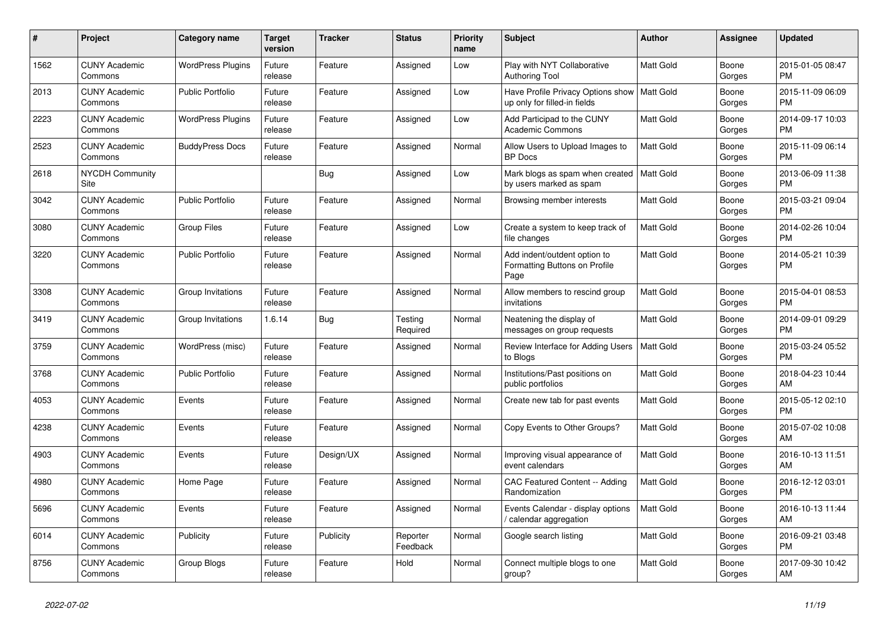| #    | <b>Project</b>                  | <b>Category name</b>     | Target<br>version | <b>Tracker</b> | <b>Status</b>        | <b>Priority</b><br>name | <b>Subject</b>                                                        | <b>Author</b>    | Assignee        | <b>Updated</b>                |
|------|---------------------------------|--------------------------|-------------------|----------------|----------------------|-------------------------|-----------------------------------------------------------------------|------------------|-----------------|-------------------------------|
| 1562 | <b>CUNY Academic</b><br>Commons | <b>WordPress Plugins</b> | Future<br>release | Feature        | Assigned             | Low                     | Play with NYT Collaborative<br><b>Authoring Tool</b>                  | Matt Gold        | Boone<br>Gorges | 2015-01-05 08:47<br><b>PM</b> |
| 2013 | <b>CUNY Academic</b><br>Commons | <b>Public Portfolio</b>  | Future<br>release | Feature        | Assigned             | Low                     | Have Profile Privacy Options show<br>up only for filled-in fields     | Matt Gold        | Boone<br>Gorges | 2015-11-09 06:09<br>PM.       |
| 2223 | <b>CUNY Academic</b><br>Commons | <b>WordPress Plugins</b> | Future<br>release | Feature        | Assigned             | Low                     | Add Participad to the CUNY<br><b>Academic Commons</b>                 | Matt Gold        | Boone<br>Gorges | 2014-09-17 10:03<br><b>PM</b> |
| 2523 | <b>CUNY Academic</b><br>Commons | <b>BuddyPress Docs</b>   | Future<br>release | Feature        | Assigned             | Normal                  | Allow Users to Upload Images to<br><b>BP</b> Docs                     | <b>Matt Gold</b> | Boone<br>Gorges | 2015-11-09 06:14<br><b>PM</b> |
| 2618 | <b>NYCDH Community</b><br>Site  |                          |                   | Bug            | Assigned             | Low                     | Mark blogs as spam when created<br>by users marked as spam            | <b>Matt Gold</b> | Boone<br>Gorges | 2013-06-09 11:38<br><b>PM</b> |
| 3042 | <b>CUNY Academic</b><br>Commons | <b>Public Portfolio</b>  | Future<br>release | Feature        | Assigned             | Normal                  | Browsing member interests                                             | Matt Gold        | Boone<br>Gorges | 2015-03-21 09:04<br><b>PM</b> |
| 3080 | <b>CUNY Academic</b><br>Commons | <b>Group Files</b>       | Future<br>release | Feature        | Assigned             | Low                     | Create a system to keep track of<br>file changes                      | <b>Matt Gold</b> | Boone<br>Gorges | 2014-02-26 10:04<br><b>PM</b> |
| 3220 | <b>CUNY Academic</b><br>Commons | <b>Public Portfolio</b>  | Future<br>release | Feature        | Assigned             | Normal                  | Add indent/outdent option to<br>Formatting Buttons on Profile<br>Page | <b>Matt Gold</b> | Boone<br>Gorges | 2014-05-21 10:39<br>PM        |
| 3308 | <b>CUNY Academic</b><br>Commons | Group Invitations        | Future<br>release | Feature        | Assigned             | Normal                  | Allow members to rescind group<br>invitations                         | <b>Matt Gold</b> | Boone<br>Gorges | 2015-04-01 08:53<br>PM.       |
| 3419 | <b>CUNY Academic</b><br>Commons | Group Invitations        | 1.6.14            | Bug            | Testing<br>Required  | Normal                  | Neatening the display of<br>messages on group requests                | Matt Gold        | Boone<br>Gorges | 2014-09-01 09:29<br><b>PM</b> |
| 3759 | <b>CUNY Academic</b><br>Commons | WordPress (misc)         | Future<br>release | Feature        | Assigned             | Normal                  | Review Interface for Adding Users<br>to Blogs                         | Matt Gold        | Boone<br>Gorges | 2015-03-24 05:52<br><b>PM</b> |
| 3768 | <b>CUNY Academic</b><br>Commons | <b>Public Portfolio</b>  | Future<br>release | Feature        | Assigned             | Normal                  | Institutions/Past positions on<br>public portfolios                   | Matt Gold        | Boone<br>Gorges | 2018-04-23 10:44<br>AM        |
| 4053 | <b>CUNY Academic</b><br>Commons | Events                   | Future<br>release | Feature        | Assigned             | Normal                  | Create new tab for past events                                        | <b>Matt Gold</b> | Boone<br>Gorges | 2015-05-12 02:10<br><b>PM</b> |
| 4238 | <b>CUNY Academic</b><br>Commons | Events                   | Future<br>release | Feature        | Assigned             | Normal                  | Copy Events to Other Groups?                                          | Matt Gold        | Boone<br>Gorges | 2015-07-02 10:08<br>AM        |
| 4903 | <b>CUNY Academic</b><br>Commons | Events                   | Future<br>release | Design/UX      | Assigned             | Normal                  | Improving visual appearance of<br>event calendars                     | Matt Gold        | Boone<br>Gorges | 2016-10-13 11:51<br>AM        |
| 4980 | <b>CUNY Academic</b><br>Commons | Home Page                | Future<br>release | Feature        | Assigned             | Normal                  | CAC Featured Content -- Adding<br>Randomization                       | Matt Gold        | Boone<br>Gorges | 2016-12-12 03:01<br><b>PM</b> |
| 5696 | <b>CUNY Academic</b><br>Commons | Events                   | Future<br>release | Feature        | Assigned             | Normal                  | Events Calendar - display options<br>calendar aggregation             | Matt Gold        | Boone<br>Gorges | 2016-10-13 11:44<br>AM        |
| 6014 | <b>CUNY Academic</b><br>Commons | Publicity                | Future<br>release | Publicity      | Reporter<br>Feedback | Normal                  | Google search listing                                                 | Matt Gold        | Boone<br>Gorges | 2016-09-21 03:48<br><b>PM</b> |
| 8756 | <b>CUNY Academic</b><br>Commons | Group Blogs              | Future<br>release | Feature        | Hold                 | Normal                  | Connect multiple blogs to one<br>group?                               | Matt Gold        | Boone<br>Gorges | 2017-09-30 10:42<br>AM        |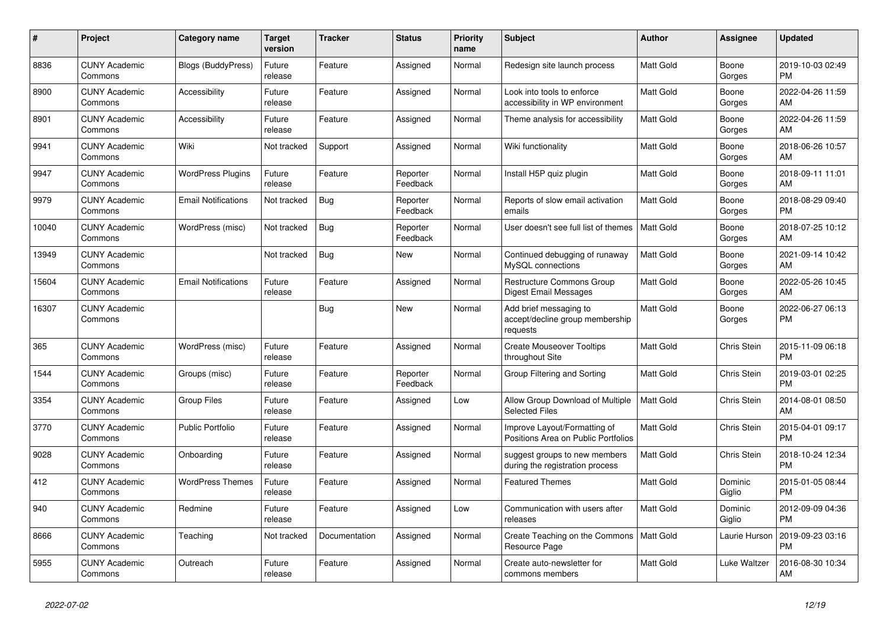| #     | Project                         | Category name              | Target<br>version | Tracker       | <b>Status</b>        | <b>Priority</b><br>name | <b>Subject</b>                                                        | <b>Author</b>    | Assignee           | <b>Updated</b>                |
|-------|---------------------------------|----------------------------|-------------------|---------------|----------------------|-------------------------|-----------------------------------------------------------------------|------------------|--------------------|-------------------------------|
| 8836  | <b>CUNY Academic</b><br>Commons | <b>Blogs (BuddyPress)</b>  | Future<br>release | Feature       | Assigned             | Normal                  | Redesign site launch process                                          | Matt Gold        | Boone<br>Gorges    | 2019-10-03 02:49<br><b>PM</b> |
| 8900  | <b>CUNY Academic</b><br>Commons | Accessibility              | Future<br>release | Feature       | Assigned             | Normal                  | Look into tools to enforce<br>accessibility in WP environment         | <b>Matt Gold</b> | Boone<br>Gorges    | 2022-04-26 11:59<br>AM        |
| 8901  | <b>CUNY Academic</b><br>Commons | Accessibility              | Future<br>release | Feature       | Assigned             | Normal                  | Theme analysis for accessibility                                      | Matt Gold        | Boone<br>Gorges    | 2022-04-26 11:59<br>AM        |
| 9941  | <b>CUNY Academic</b><br>Commons | Wiki                       | Not tracked       | Support       | Assigned             | Normal                  | Wiki functionality                                                    | Matt Gold        | Boone<br>Gorges    | 2018-06-26 10:57<br>AM        |
| 9947  | <b>CUNY Academic</b><br>Commons | <b>WordPress Plugins</b>   | Future<br>release | Feature       | Reporter<br>Feedback | Normal                  | Install H5P quiz plugin                                               | Matt Gold        | Boone<br>Gorges    | 2018-09-11 11:01<br>AM        |
| 9979  | <b>CUNY Academic</b><br>Commons | <b>Email Notifications</b> | Not tracked       | Bug           | Reporter<br>Feedback | Normal                  | Reports of slow email activation<br>emails                            | <b>Matt Gold</b> | Boone<br>Gorges    | 2018-08-29 09:40<br><b>PM</b> |
| 10040 | <b>CUNY Academic</b><br>Commons | WordPress (misc)           | Not tracked       | <b>Bug</b>    | Reporter<br>Feedback | Normal                  | User doesn't see full list of themes                                  | <b>Matt Gold</b> | Boone<br>Gorges    | 2018-07-25 10:12<br>AM        |
| 13949 | <b>CUNY Academic</b><br>Commons |                            | Not tracked       | <b>Bug</b>    | <b>New</b>           | Normal                  | Continued debugging of runaway<br>MySQL connections                   | <b>Matt Gold</b> | Boone<br>Gorges    | 2021-09-14 10:42<br>AM        |
| 15604 | <b>CUNY Academic</b><br>Commons | <b>Email Notifications</b> | Future<br>release | Feature       | Assigned             | Normal                  | <b>Restructure Commons Group</b><br>Digest Email Messages             | Matt Gold        | Boone<br>Gorges    | 2022-05-26 10:45<br>AM        |
| 16307 | <b>CUNY Academic</b><br>Commons |                            |                   | Bug           | New                  | Normal                  | Add brief messaging to<br>accept/decline group membership<br>requests | Matt Gold        | Boone<br>Gorges    | 2022-06-27 06:13<br><b>PM</b> |
| 365   | <b>CUNY Academic</b><br>Commons | WordPress (misc)           | Future<br>release | Feature       | Assigned             | Normal                  | <b>Create Mouseover Tooltips</b><br>throughout Site                   | Matt Gold        | Chris Stein        | 2015-11-09 06:18<br><b>PM</b> |
| 1544  | <b>CUNY Academic</b><br>Commons | Groups (misc)              | Future<br>release | Feature       | Reporter<br>Feedback | Normal                  | Group Filtering and Sorting                                           | Matt Gold        | Chris Stein        | 2019-03-01 02:25<br><b>PM</b> |
| 3354  | <b>CUNY Academic</b><br>Commons | <b>Group Files</b>         | Future<br>release | Feature       | Assigned             | Low                     | Allow Group Download of Multiple<br><b>Selected Files</b>             | <b>Matt Gold</b> | <b>Chris Stein</b> | 2014-08-01 08:50<br>AM        |
| 3770  | <b>CUNY Academic</b><br>Commons | <b>Public Portfolio</b>    | Future<br>release | Feature       | Assigned             | Normal                  | Improve Layout/Formatting of<br>Positions Area on Public Portfolios   | <b>Matt Gold</b> | Chris Stein        | 2015-04-01 09:17<br><b>PM</b> |
| 9028  | <b>CUNY Academic</b><br>Commons | Onboarding                 | Future<br>release | Feature       | Assigned             | Normal                  | suggest groups to new members<br>during the registration process      | <b>Matt Gold</b> | Chris Stein        | 2018-10-24 12:34<br><b>PM</b> |
| 412   | <b>CUNY Academic</b><br>Commons | <b>WordPress Themes</b>    | Future<br>release | Feature       | Assigned             | Normal                  | <b>Featured Themes</b>                                                | Matt Gold        | Dominic<br>Giglio  | 2015-01-05 08:44<br><b>PM</b> |
| 940   | <b>CUNY Academic</b><br>Commons | Redmine                    | Future<br>release | Feature       | Assigned             | Low                     | Communication with users after<br>releases                            | Matt Gold        | Dominic<br>Giglio  | 2012-09-09 04:36<br><b>PM</b> |
| 8666  | <b>CUNY Academic</b><br>Commons | Teaching                   | Not tracked       | Documentation | Assigned             | Normal                  | Create Teaching on the Commons   Matt Gold<br>Resource Page           |                  | Laurie Hurson      | 2019-09-23 03:16<br><b>PM</b> |
| 5955  | <b>CUNY Academic</b><br>Commons | Outreach                   | Future<br>release | Feature       | Assigned             | Normal                  | Create auto-newsletter for<br>commons members                         | Matt Gold        | Luke Waltzer       | 2016-08-30 10:34<br>AM        |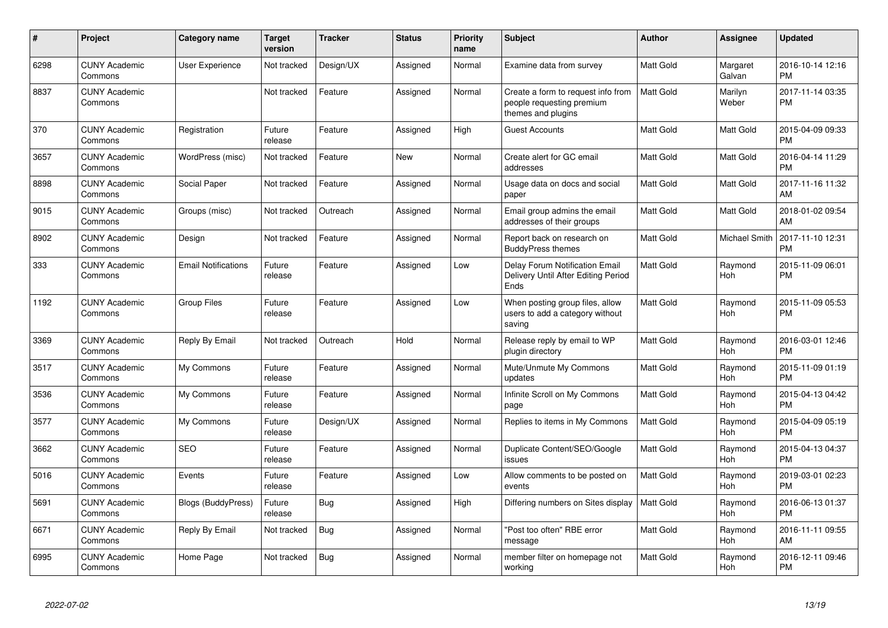| #    | Project                         | <b>Category name</b>       | <b>Target</b><br>version | <b>Tracker</b> | <b>Status</b> | <b>Priority</b><br>name | <b>Subject</b>                                                                        | <b>Author</b>    | <b>Assignee</b>       | <b>Updated</b>                |
|------|---------------------------------|----------------------------|--------------------------|----------------|---------------|-------------------------|---------------------------------------------------------------------------------------|------------------|-----------------------|-------------------------------|
| 6298 | <b>CUNY Academic</b><br>Commons | User Experience            | Not tracked              | Design/UX      | Assigned      | Normal                  | Examine data from survey                                                              | Matt Gold        | Margaret<br>Galvan    | 2016-10-14 12:16<br><b>PM</b> |
| 8837 | <b>CUNY Academic</b><br>Commons |                            | Not tracked              | Feature        | Assigned      | Normal                  | Create a form to request info from<br>people requesting premium<br>themes and plugins | Matt Gold        | Marilyn<br>Weber      | 2017-11-14 03:35<br><b>PM</b> |
| 370  | <b>CUNY Academic</b><br>Commons | Registration               | Future<br>release        | Feature        | Assigned      | High                    | <b>Guest Accounts</b>                                                                 | Matt Gold        | Matt Gold             | 2015-04-09 09:33<br>PM        |
| 3657 | <b>CUNY Academic</b><br>Commons | WordPress (misc)           | Not tracked              | Feature        | New           | Normal                  | Create alert for GC email<br>addresses                                                | Matt Gold        | Matt Gold             | 2016-04-14 11:29<br>PM        |
| 8898 | <b>CUNY Academic</b><br>Commons | Social Paper               | Not tracked              | Feature        | Assigned      | Normal                  | Usage data on docs and social<br>paper                                                | Matt Gold        | Matt Gold             | 2017-11-16 11:32<br>AM        |
| 9015 | <b>CUNY Academic</b><br>Commons | Groups (misc)              | Not tracked              | Outreach       | Assigned      | Normal                  | Email group admins the email<br>addresses of their groups                             | Matt Gold        | Matt Gold             | 2018-01-02 09:54<br>AM        |
| 8902 | <b>CUNY Academic</b><br>Commons | Design                     | Not tracked              | Feature        | Assigned      | Normal                  | Report back on research on<br><b>BuddyPress themes</b>                                | Matt Gold        | <b>Michael Smith</b>  | 2017-11-10 12:31<br>PM        |
| 333  | <b>CUNY Academic</b><br>Commons | <b>Email Notifications</b> | Future<br>release        | Feature        | Assigned      | Low                     | <b>Delay Forum Notification Email</b><br>Delivery Until After Editing Period<br>Ends  | Matt Gold        | Raymond<br>Hoh        | 2015-11-09 06:01<br>PM        |
| 1192 | <b>CUNY Academic</b><br>Commons | <b>Group Files</b>         | Future<br>release        | Feature        | Assigned      | Low                     | When posting group files, allow<br>users to add a category without<br>saving          | Matt Gold        | Raymond<br><b>Hoh</b> | 2015-11-09 05:53<br>PM        |
| 3369 | <b>CUNY Academic</b><br>Commons | Reply By Email             | Not tracked              | Outreach       | Hold          | Normal                  | Release reply by email to WP<br>plugin directory                                      | Matt Gold        | Raymond<br>Hoh        | 2016-03-01 12:46<br><b>PM</b> |
| 3517 | <b>CUNY Academic</b><br>Commons | My Commons                 | Future<br>release        | Feature        | Assigned      | Normal                  | Mute/Unmute My Commons<br>updates                                                     | Matt Gold        | Raymond<br>Hoh        | 2015-11-09 01:19<br><b>PM</b> |
| 3536 | <b>CUNY Academic</b><br>Commons | My Commons                 | Future<br>release        | Feature        | Assigned      | Normal                  | Infinite Scroll on My Commons<br>page                                                 | Matt Gold        | Raymond<br><b>Hoh</b> | 2015-04-13 04:42<br><b>PM</b> |
| 3577 | <b>CUNY Academic</b><br>Commons | My Commons                 | Future<br>release        | Design/UX      | Assigned      | Normal                  | Replies to items in My Commons                                                        | Matt Gold        | Raymond<br><b>Hoh</b> | 2015-04-09 05:19<br><b>PM</b> |
| 3662 | <b>CUNY Academic</b><br>Commons | <b>SEO</b>                 | Future<br>release        | Feature        | Assigned      | Normal                  | Duplicate Content/SEO/Google<br>issues                                                | Matt Gold        | Raymond<br><b>Hoh</b> | 2015-04-13 04:37<br><b>PM</b> |
| 5016 | <b>CUNY Academic</b><br>Commons | Events                     | Future<br>release        | Feature        | Assigned      | Low                     | Allow comments to be posted on<br>events                                              | Matt Gold        | Raymond<br><b>Hoh</b> | 2019-03-01 02:23<br><b>PM</b> |
| 5691 | <b>CUNY Academic</b><br>Commons | <b>Blogs (BuddyPress)</b>  | Future<br>release        | Bug            | Assigned      | High                    | Differing numbers on Sites display                                                    | <b>Matt Gold</b> | Raymond<br>Hoh        | 2016-06-13 01:37<br><b>PM</b> |
| 6671 | <b>CUNY Academic</b><br>Commons | Reply By Email             | Not tracked              | Bug            | Assigned      | Normal                  | "Post too often" RBE error<br>message                                                 | Matt Gold        | Raymond<br>Hoh        | 2016-11-11 09:55<br>AM        |
| 6995 | <b>CUNY Academic</b><br>Commons | Home Page                  | Not tracked              | Bug            | Assigned      | Normal                  | member filter on homepage not<br>working                                              | Matt Gold        | Raymond<br>Hoh        | 2016-12-11 09:46<br><b>PM</b> |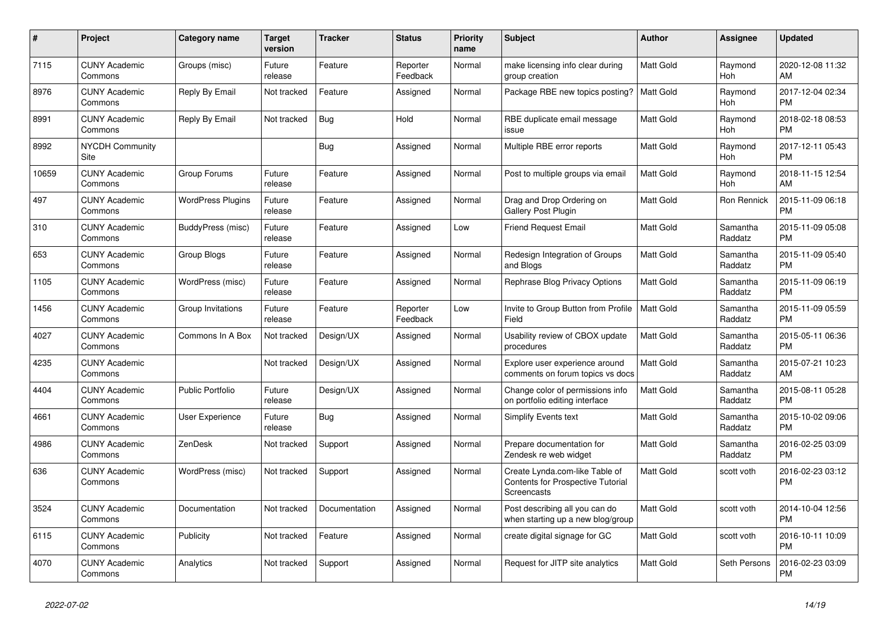| $\#$  | Project                         | <b>Category name</b>     | Target<br>version | <b>Tracker</b> | <b>Status</b>        | Priority<br>name | <b>Subject</b>                                                                     | <b>Author</b>    | <b>Assignee</b>     | <b>Updated</b>                |
|-------|---------------------------------|--------------------------|-------------------|----------------|----------------------|------------------|------------------------------------------------------------------------------------|------------------|---------------------|-------------------------------|
| 7115  | <b>CUNY Academic</b><br>Commons | Groups (misc)            | Future<br>release | Feature        | Reporter<br>Feedback | Normal           | make licensing info clear during<br>group creation                                 | <b>Matt Gold</b> | Raymond<br>Hoh      | 2020-12-08 11:32<br>AM        |
| 8976  | <b>CUNY Academic</b><br>Commons | Reply By Email           | Not tracked       | Feature        | Assigned             | Normal           | Package RBE new topics posting?                                                    | <b>Matt Gold</b> | Raymond<br>Hoh      | 2017-12-04 02:34<br><b>PM</b> |
| 8991  | <b>CUNY Academic</b><br>Commons | Reply By Email           | Not tracked       | <b>Bug</b>     | Hold                 | Normal           | RBE duplicate email message<br>issue                                               | <b>Matt Gold</b> | Raymond<br>Hoh      | 2018-02-18 08:53<br><b>PM</b> |
| 8992  | <b>NYCDH Community</b><br>Site  |                          |                   | Bug            | Assigned             | Normal           | Multiple RBE error reports                                                         | Matt Gold        | Raymond<br>Hoh      | 2017-12-11 05:43<br><b>PM</b> |
| 10659 | <b>CUNY Academic</b><br>Commons | Group Forums             | Future<br>release | Feature        | Assigned             | Normal           | Post to multiple groups via email                                                  | Matt Gold        | Raymond<br>Hoh      | 2018-11-15 12:54<br>AM        |
| 497   | <b>CUNY Academic</b><br>Commons | <b>WordPress Plugins</b> | Future<br>release | Feature        | Assigned             | Normal           | Drag and Drop Ordering on<br><b>Gallery Post Plugin</b>                            | <b>Matt Gold</b> | Ron Rennick         | 2015-11-09 06:18<br><b>PM</b> |
| 310   | <b>CUNY Academic</b><br>Commons | BuddyPress (misc)        | Future<br>release | Feature        | Assigned             | Low              | <b>Friend Request Email</b>                                                        | <b>Matt Gold</b> | Samantha<br>Raddatz | 2015-11-09 05:08<br><b>PM</b> |
| 653   | <b>CUNY Academic</b><br>Commons | Group Blogs              | Future<br>release | Feature        | Assigned             | Normal           | Redesign Integration of Groups<br>and Blogs                                        | <b>Matt Gold</b> | Samantha<br>Raddatz | 2015-11-09 05:40<br><b>PM</b> |
| 1105  | <b>CUNY Academic</b><br>Commons | WordPress (misc)         | Future<br>release | Feature        | Assigned             | Normal           | Rephrase Blog Privacy Options                                                      | Matt Gold        | Samantha<br>Raddatz | 2015-11-09 06:19<br><b>PM</b> |
| 1456  | <b>CUNY Academic</b><br>Commons | Group Invitations        | Future<br>release | Feature        | Reporter<br>Feedback | Low              | Invite to Group Button from Profile<br>Field                                       | <b>Matt Gold</b> | Samantha<br>Raddatz | 2015-11-09 05:59<br><b>PM</b> |
| 4027  | <b>CUNY Academic</b><br>Commons | Commons In A Box         | Not tracked       | Design/UX      | Assigned             | Normal           | Usability review of CBOX update<br>procedures                                      | Matt Gold        | Samantha<br>Raddatz | 2015-05-11 06:36<br><b>PM</b> |
| 4235  | <b>CUNY Academic</b><br>Commons |                          | Not tracked       | Design/UX      | Assigned             | Normal           | Explore user experience around<br>comments on forum topics vs docs                 | <b>Matt Gold</b> | Samantha<br>Raddatz | 2015-07-21 10:23<br>AM        |
| 4404  | <b>CUNY Academic</b><br>Commons | <b>Public Portfolio</b>  | Future<br>release | Design/UX      | Assigned             | Normal           | Change color of permissions info<br>on portfolio editing interface                 | <b>Matt Gold</b> | Samantha<br>Raddatz | 2015-08-11 05:28<br><b>PM</b> |
| 4661  | <b>CUNY Academic</b><br>Commons | User Experience          | Future<br>release | Bug            | Assigned             | Normal           | <b>Simplify Events text</b>                                                        | <b>Matt Gold</b> | Samantha<br>Raddatz | 2015-10-02 09:06<br><b>PM</b> |
| 4986  | <b>CUNY Academic</b><br>Commons | <b>ZenDesk</b>           | Not tracked       | Support        | Assigned             | Normal           | Prepare documentation for<br>Zendesk re web widget                                 | Matt Gold        | Samantha<br>Raddatz | 2016-02-25 03:09<br><b>PM</b> |
| 636   | <b>CUNY Academic</b><br>Commons | WordPress (misc)         | Not tracked       | Support        | Assigned             | Normal           | Create Lynda.com-like Table of<br>Contents for Prospective Tutorial<br>Screencasts | Matt Gold        | scott voth          | 2016-02-23 03:12<br><b>PM</b> |
| 3524  | <b>CUNY Academic</b><br>Commons | Documentation            | Not tracked       | Documentation  | Assigned             | Normal           | Post describing all you can do<br>when starting up a new blog/group                | <b>Matt Gold</b> | scott voth          | 2014-10-04 12:56<br><b>PM</b> |
| 6115  | <b>CUNY Academic</b><br>Commons | Publicity                | Not tracked       | Feature        | Assigned             | Normal           | create digital signage for GC                                                      | <b>Matt Gold</b> | scott voth          | 2016-10-11 10:09<br><b>PM</b> |
| 4070  | <b>CUNY Academic</b><br>Commons | Analytics                | Not tracked       | Support        | Assigned             | Normal           | Request for JITP site analytics                                                    | Matt Gold        | Seth Persons        | 2016-02-23 03:09<br><b>PM</b> |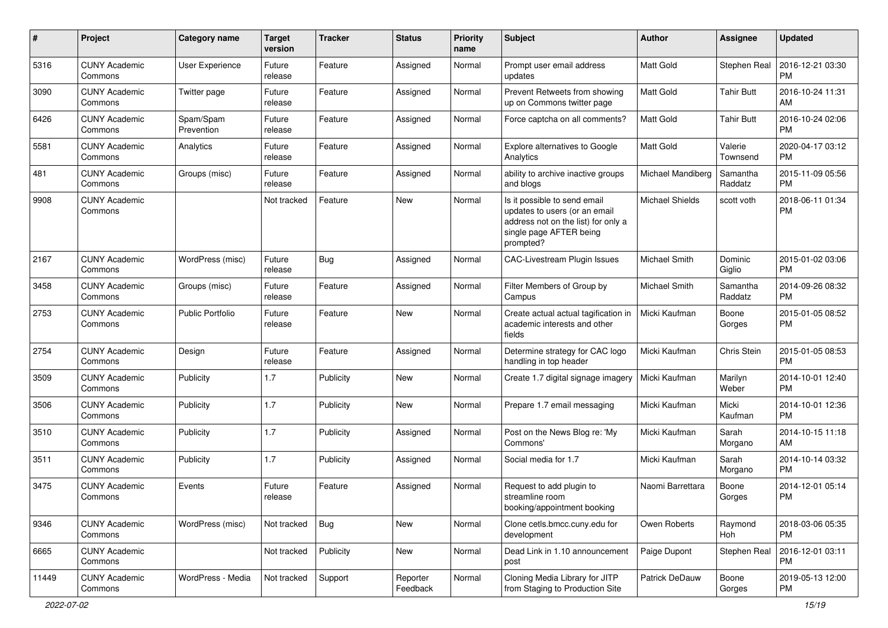| #     | Project                         | <b>Category name</b>    | <b>Target</b><br>version | <b>Tracker</b> | <b>Status</b>        | <b>Priority</b><br>name | <b>Subject</b>                                                                                                                               | Author            | <b>Assignee</b>     | <b>Updated</b>                |
|-------|---------------------------------|-------------------------|--------------------------|----------------|----------------------|-------------------------|----------------------------------------------------------------------------------------------------------------------------------------------|-------------------|---------------------|-------------------------------|
| 5316  | <b>CUNY Academic</b><br>Commons | User Experience         | Future<br>release        | Feature        | Assigned             | Normal                  | Prompt user email address<br>updates                                                                                                         | <b>Matt Gold</b>  | Stephen Real        | 2016-12-21 03:30<br><b>PM</b> |
| 3090  | <b>CUNY Academic</b><br>Commons | Twitter page            | Future<br>release        | Feature        | Assigned             | Normal                  | Prevent Retweets from showing<br>up on Commons twitter page                                                                                  | <b>Matt Gold</b>  | <b>Tahir Butt</b>   | 2016-10-24 11:31<br>AM        |
| 6426  | <b>CUNY Academic</b><br>Commons | Spam/Spam<br>Prevention | Future<br>release        | Feature        | Assigned             | Normal                  | Force captcha on all comments?                                                                                                               | <b>Matt Gold</b>  | Tahir Butt          | 2016-10-24 02:06<br><b>PM</b> |
| 5581  | <b>CUNY Academic</b><br>Commons | Analytics               | Future<br>release        | Feature        | Assigned             | Normal                  | Explore alternatives to Google<br>Analytics                                                                                                  | <b>Matt Gold</b>  | Valerie<br>Townsend | 2020-04-17 03:12<br><b>PM</b> |
| 481   | <b>CUNY Academic</b><br>Commons | Groups (misc)           | Future<br>release        | Feature        | Assigned             | Normal                  | ability to archive inactive groups<br>and blogs                                                                                              | Michael Mandiberg | Samantha<br>Raddatz | 2015-11-09 05:56<br><b>PM</b> |
| 9908  | <b>CUNY Academic</b><br>Commons |                         | Not tracked              | Feature        | New                  | Normal                  | Is it possible to send email<br>updates to users (or an email<br>address not on the list) for only a<br>single page AFTER being<br>prompted? | Michael Shields   | scott voth          | 2018-06-11 01:34<br><b>PM</b> |
| 2167  | <b>CUNY Academic</b><br>Commons | WordPress (misc)        | Future<br>release        | Bug            | Assigned             | Normal                  | CAC-Livestream Plugin Issues                                                                                                                 | Michael Smith     | Dominic<br>Giglio   | 2015-01-02 03:06<br><b>PM</b> |
| 3458  | <b>CUNY Academic</b><br>Commons | Groups (misc)           | Future<br>release        | Feature        | Assigned             | Normal                  | Filter Members of Group by<br>Campus                                                                                                         | Michael Smith     | Samantha<br>Raddatz | 2014-09-26 08:32<br><b>PM</b> |
| 2753  | <b>CUNY Academic</b><br>Commons | <b>Public Portfolio</b> | Future<br>release        | Feature        | New                  | Normal                  | Create actual actual tagification in<br>academic interests and other<br>fields                                                               | Micki Kaufman     | Boone<br>Gorges     | 2015-01-05 08:52<br><b>PM</b> |
| 2754  | <b>CUNY Academic</b><br>Commons | Design                  | Future<br>release        | Feature        | Assigned             | Normal                  | Determine strategy for CAC logo<br>handling in top header                                                                                    | Micki Kaufman     | Chris Stein         | 2015-01-05 08:53<br><b>PM</b> |
| 3509  | <b>CUNY Academic</b><br>Commons | Publicity               | 1.7                      | Publicity      | <b>New</b>           | Normal                  | Create 1.7 digital signage imagery                                                                                                           | Micki Kaufman     | Marilyn<br>Weber    | 2014-10-01 12:40<br><b>PM</b> |
| 3506  | <b>CUNY Academic</b><br>Commons | Publicity               | 1.7                      | Publicity      | <b>New</b>           | Normal                  | Prepare 1.7 email messaging                                                                                                                  | Micki Kaufman     | Micki<br>Kaufman    | 2014-10-01 12:36<br><b>PM</b> |
| 3510  | <b>CUNY Academic</b><br>Commons | Publicity               | 1.7                      | Publicity      | Assigned             | Normal                  | Post on the News Blog re: 'My<br>Commons'                                                                                                    | Micki Kaufman     | Sarah<br>Morgano    | 2014-10-15 11:18<br>AM        |
| 3511  | <b>CUNY Academic</b><br>Commons | Publicity               | 1.7                      | Publicity      | Assigned             | Normal                  | Social media for 1.7                                                                                                                         | Micki Kaufman     | Sarah<br>Morgano    | 2014-10-14 03:32<br><b>PM</b> |
| 3475  | <b>CUNY Academic</b><br>Commons | Events                  | Future<br>release        | Feature        | Assigned             | Normal                  | Request to add plugin to<br>streamline room<br>booking/appointment booking                                                                   | Naomi Barrettara  | Boone<br>Gorges     | 2014-12-01 05:14<br><b>PM</b> |
| 9346  | <b>CUNY Academic</b><br>Commons | WordPress (misc)        | Not tracked              | Bug            | <b>New</b>           | Normal                  | Clone cetls.bmcc.cuny.edu for<br>development                                                                                                 | Owen Roberts      | Raymond<br>Hoh      | 2018-03-06 05:35<br><b>PM</b> |
| 6665  | <b>CUNY Academic</b><br>Commons |                         | Not tracked              | Publicity      | New                  | Normal                  | Dead Link in 1.10 announcement<br>post                                                                                                       | Paige Dupont      | Stephen Real        | 2016-12-01 03:11<br><b>PM</b> |
| 11449 | <b>CUNY Academic</b><br>Commons | WordPress - Media       | Not tracked              | Support        | Reporter<br>Feedback | Normal                  | Cloning Media Library for JITP<br>from Staging to Production Site                                                                            | Patrick DeDauw    | Boone<br>Gorges     | 2019-05-13 12:00<br>PM        |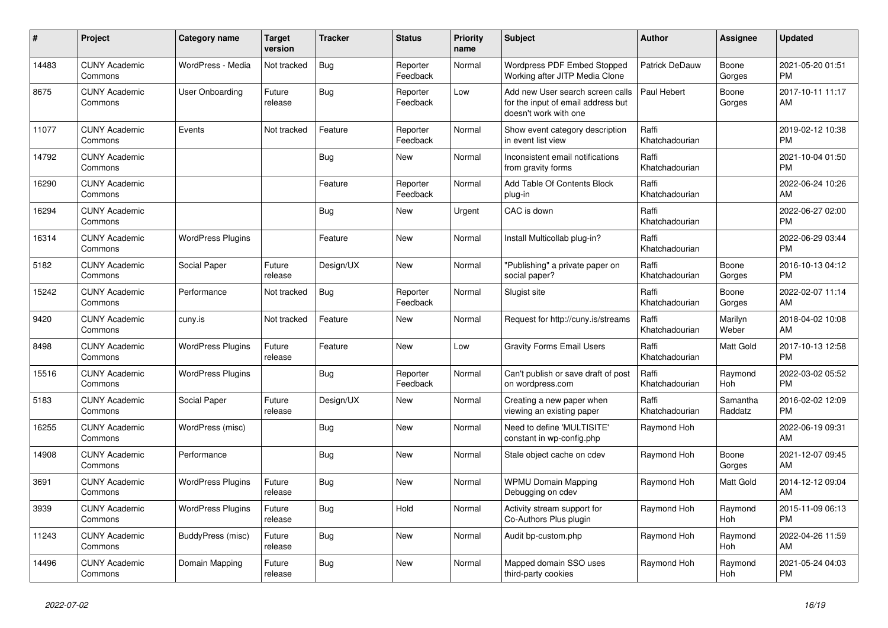| #     | <b>Project</b>                  | Category name            | <b>Target</b><br>version | <b>Tracker</b> | <b>Status</b>        | Priority<br>name | <b>Subject</b>                                                                                  | <b>Author</b>           | Assignee            | <b>Updated</b>                |
|-------|---------------------------------|--------------------------|--------------------------|----------------|----------------------|------------------|-------------------------------------------------------------------------------------------------|-------------------------|---------------------|-------------------------------|
| 14483 | <b>CUNY Academic</b><br>Commons | WordPress - Media        | Not tracked              | Bug            | Reporter<br>Feedback | Normal           | Wordpress PDF Embed Stopped<br>Working after JITP Media Clone                                   | Patrick DeDauw          | Boone<br>Gorges     | 2021-05-20 01:51<br><b>PM</b> |
| 8675  | <b>CUNY Academic</b><br>Commons | User Onboarding          | Future<br>release        | Bug            | Reporter<br>Feedback | Low              | Add new User search screen calls<br>for the input of email address but<br>doesn't work with one | Paul Hebert             | Boone<br>Gorges     | 2017-10-11 11:17<br>AM        |
| 11077 | <b>CUNY Academic</b><br>Commons | Events                   | Not tracked              | Feature        | Reporter<br>Feedback | Normal           | Show event category description<br>in event list view                                           | Raffi<br>Khatchadourian |                     | 2019-02-12 10:38<br><b>PM</b> |
| 14792 | <b>CUNY Academic</b><br>Commons |                          |                          | <b>Bug</b>     | <b>New</b>           | Normal           | Inconsistent email notifications<br>from gravity forms                                          | Raffi<br>Khatchadourian |                     | 2021-10-04 01:50<br><b>PM</b> |
| 16290 | <b>CUNY Academic</b><br>Commons |                          |                          | Feature        | Reporter<br>Feedback | Normal           | Add Table Of Contents Block<br>plug-in                                                          | Raffi<br>Khatchadourian |                     | 2022-06-24 10:26<br>AM        |
| 16294 | <b>CUNY Academic</b><br>Commons |                          |                          | Bug            | <b>New</b>           | Urgent           | CAC is down                                                                                     | Raffi<br>Khatchadourian |                     | 2022-06-27 02:00<br><b>PM</b> |
| 16314 | <b>CUNY Academic</b><br>Commons | <b>WordPress Plugins</b> |                          | Feature        | <b>New</b>           | Normal           | Install Multicollab plug-in?                                                                    | Raffi<br>Khatchadourian |                     | 2022-06-29 03:44<br><b>PM</b> |
| 5182  | <b>CUNY Academic</b><br>Commons | Social Paper             | Future<br>release        | Design/UX      | New                  | Normal           | "Publishing" a private paper on<br>social paper?                                                | Raffi<br>Khatchadourian | Boone<br>Gorges     | 2016-10-13 04:12<br><b>PM</b> |
| 15242 | <b>CUNY Academic</b><br>Commons | Performance              | Not tracked              | <b>Bug</b>     | Reporter<br>Feedback | Normal           | Slugist site                                                                                    | Raffi<br>Khatchadourian | Boone<br>Gorges     | 2022-02-07 11:14<br>AM        |
| 9420  | <b>CUNY Academic</b><br>Commons | cuny.is                  | Not tracked              | Feature        | <b>New</b>           | Normal           | Request for http://cuny.is/streams                                                              | Raffi<br>Khatchadourian | Marilyn<br>Weber    | 2018-04-02 10:08<br>AM        |
| 8498  | <b>CUNY Academic</b><br>Commons | <b>WordPress Plugins</b> | Future<br>release        | Feature        | <b>New</b>           | Low              | <b>Gravity Forms Email Users</b>                                                                | Raffi<br>Khatchadourian | Matt Gold           | 2017-10-13 12:58<br><b>PM</b> |
| 15516 | <b>CUNY Academic</b><br>Commons | <b>WordPress Plugins</b> |                          | Bug            | Reporter<br>Feedback | Normal           | Can't publish or save draft of post<br>on wordpress.com                                         | Raffi<br>Khatchadourian | Raymond<br>Hoh      | 2022-03-02 05:52<br><b>PM</b> |
| 5183  | <b>CUNY Academic</b><br>Commons | Social Paper             | Future<br>release        | Design/UX      | <b>New</b>           | Normal           | Creating a new paper when<br>viewing an existing paper                                          | Raffi<br>Khatchadourian | Samantha<br>Raddatz | 2016-02-02 12:09<br><b>PM</b> |
| 16255 | <b>CUNY Academic</b><br>Commons | WordPress (misc)         |                          | Bug            | <b>New</b>           | Normal           | Need to define 'MULTISITE'<br>constant in wp-config.php                                         | Raymond Hoh             |                     | 2022-06-19 09:31<br>AM        |
| 14908 | <b>CUNY Academic</b><br>Commons | Performance              |                          | <b>Bug</b>     | <b>New</b>           | Normal           | Stale object cache on cdev                                                                      | Raymond Hoh             | Boone<br>Gorges     | 2021-12-07 09:45<br>AM        |
| 3691  | <b>CUNY Academic</b><br>Commons | <b>WordPress Plugins</b> | Future<br>release        | Bug            | <b>New</b>           | Normal           | <b>WPMU Domain Mapping</b><br>Debugging on cdev                                                 | Raymond Hoh             | Matt Gold           | 2014-12-12 09:04<br>AM        |
| 3939  | <b>CUNY Academic</b><br>Commons | <b>WordPress Plugins</b> | Future<br>release        | <b>Bug</b>     | Hold                 | Normal           | Activity stream support for<br>Co-Authors Plus plugin                                           | Raymond Hoh             | Raymond<br>Hoh      | 2015-11-09 06:13<br><b>PM</b> |
| 11243 | <b>CUNY Academic</b><br>Commons | BuddyPress (misc)        | Future<br>release        | Bug            | New                  | Normal           | Audit bp-custom.php                                                                             | Raymond Hoh             | Raymond<br>Hoh      | 2022-04-26 11:59<br>AM        |
| 14496 | <b>CUNY Academic</b><br>Commons | Domain Mapping           | Future<br>release        | <b>Bug</b>     | <b>New</b>           | Normal           | Mapped domain SSO uses<br>third-party cookies                                                   | Raymond Hoh             | Raymond<br>Hoh      | 2021-05-24 04:03<br><b>PM</b> |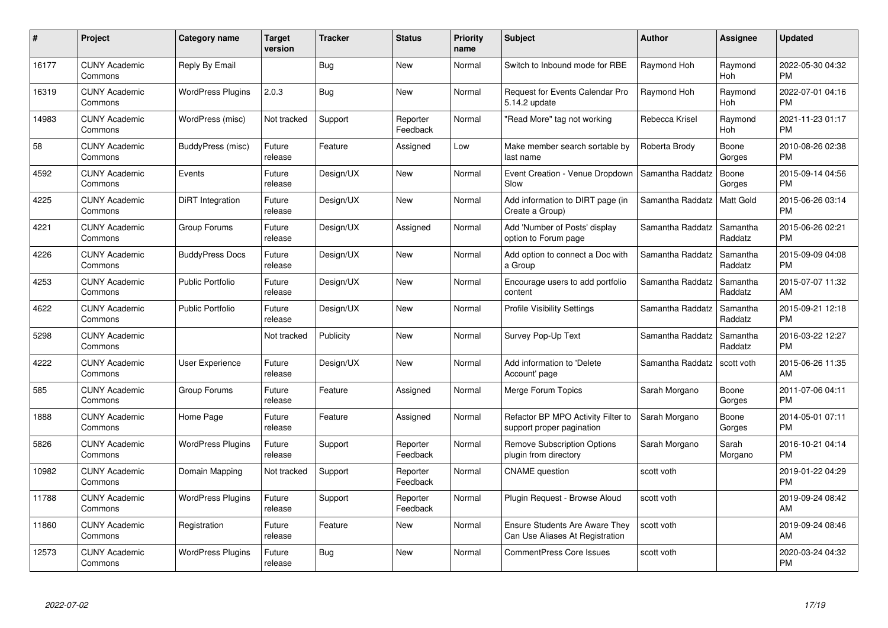| #     | Project                         | <b>Category name</b>     | <b>Target</b><br>version | <b>Tracker</b> | <b>Status</b>        | Priority<br>name | <b>Subject</b>                                                           | <b>Author</b>    | <b>Assignee</b>     | <b>Updated</b>                |
|-------|---------------------------------|--------------------------|--------------------------|----------------|----------------------|------------------|--------------------------------------------------------------------------|------------------|---------------------|-------------------------------|
| 16177 | <b>CUNY Academic</b><br>Commons | Reply By Email           |                          | Bug            | <b>New</b>           | Normal           | Switch to Inbound mode for RBE                                           | Raymond Hoh      | Raymond<br>Hoh      | 2022-05-30 04:32<br><b>PM</b> |
| 16319 | <b>CUNY Academic</b><br>Commons | <b>WordPress Plugins</b> | 2.0.3                    | Bug            | <b>New</b>           | Normal           | Request for Events Calendar Pro<br>5.14.2 update                         | Raymond Hoh      | Raymond<br>Hoh      | 2022-07-01 04:16<br><b>PM</b> |
| 14983 | <b>CUNY Academic</b><br>Commons | WordPress (misc)         | Not tracked              | Support        | Reporter<br>Feedback | Normal           | "Read More" tag not working                                              | Rebecca Krisel   | Raymond<br>Hoh      | 2021-11-23 01:17<br><b>PM</b> |
| 58    | <b>CUNY Academic</b><br>Commons | BuddyPress (misc)        | Future<br>release        | Feature        | Assigned             | Low              | Make member search sortable by<br>last name                              | Roberta Brody    | Boone<br>Gorges     | 2010-08-26 02:38<br><b>PM</b> |
| 4592  | <b>CUNY Academic</b><br>Commons | Events                   | Future<br>release        | Design/UX      | New                  | Normal           | Event Creation - Venue Dropdown<br>Slow                                  | Samantha Raddatz | Boone<br>Gorges     | 2015-09-14 04:56<br><b>PM</b> |
| 4225  | <b>CUNY Academic</b><br>Commons | DiRT Integration         | Future<br>release        | Design/UX      | <b>New</b>           | Normal           | Add information to DIRT page (in<br>Create a Group)                      | Samantha Raddatz | <b>Matt Gold</b>    | 2015-06-26 03:14<br><b>PM</b> |
| 4221  | <b>CUNY Academic</b><br>Commons | Group Forums             | Future<br>release        | Design/UX      | Assigned             | Normal           | Add 'Number of Posts' display<br>option to Forum page                    | Samantha Raddatz | Samantha<br>Raddatz | 2015-06-26 02:21<br><b>PM</b> |
| 4226  | <b>CUNY Academic</b><br>Commons | <b>BuddyPress Docs</b>   | Future<br>release        | Design/UX      | New                  | Normal           | Add option to connect a Doc with<br>a Group                              | Samantha Raddatz | Samantha<br>Raddatz | 2015-09-09 04:08<br><b>PM</b> |
| 4253  | <b>CUNY Academic</b><br>Commons | Public Portfolio         | Future<br>release        | Design/UX      | New                  | Normal           | Encourage users to add portfolio<br>content                              | Samantha Raddatz | Samantha<br>Raddatz | 2015-07-07 11:32<br>AM        |
| 4622  | <b>CUNY Academic</b><br>Commons | <b>Public Portfolio</b>  | Future<br>release        | Design/UX      | <b>New</b>           | Normal           | <b>Profile Visibility Settings</b>                                       | Samantha Raddatz | Samantha<br>Raddatz | 2015-09-21 12:18<br><b>PM</b> |
| 5298  | <b>CUNY Academic</b><br>Commons |                          | Not tracked              | Publicity      | New                  | Normal           | Survey Pop-Up Text                                                       | Samantha Raddatz | Samantha<br>Raddatz | 2016-03-22 12:27<br><b>PM</b> |
| 4222  | <b>CUNY Academic</b><br>Commons | <b>User Experience</b>   | Future<br>release        | Design/UX      | <b>New</b>           | Normal           | Add information to 'Delete<br>Account' page                              | Samantha Raddatz | scott voth          | 2015-06-26 11:35<br>AM        |
| 585   | <b>CUNY Academic</b><br>Commons | Group Forums             | Future<br>release        | Feature        | Assigned             | Normal           | Merge Forum Topics                                                       | Sarah Morgano    | Boone<br>Gorges     | 2011-07-06 04:11<br><b>PM</b> |
| 1888  | <b>CUNY Academic</b><br>Commons | Home Page                | Future<br>release        | Feature        | Assigned             | Normal           | Refactor BP MPO Activity Filter to<br>support proper pagination          | Sarah Morgano    | Boone<br>Gorges     | 2014-05-01 07:11<br><b>PM</b> |
| 5826  | <b>CUNY Academic</b><br>Commons | <b>WordPress Plugins</b> | Future<br>release        | Support        | Reporter<br>Feedback | Normal           | <b>Remove Subscription Options</b><br>plugin from directory              | Sarah Morgano    | Sarah<br>Morgano    | 2016-10-21 04:14<br><b>PM</b> |
| 10982 | <b>CUNY Academic</b><br>Commons | Domain Mapping           | Not tracked              | Support        | Reporter<br>Feedback | Normal           | <b>CNAME</b> question                                                    | scott voth       |                     | 2019-01-22 04:29<br><b>PM</b> |
| 11788 | <b>CUNY Academic</b><br>Commons | <b>WordPress Plugins</b> | Future<br>release        | Support        | Reporter<br>Feedback | Normal           | Plugin Request - Browse Aloud                                            | scott voth       |                     | 2019-09-24 08:42<br>AM        |
| 11860 | <b>CUNY Academic</b><br>Commons | Registration             | Future<br>release        | Feature        | New                  | Normal           | <b>Ensure Students Are Aware They</b><br>Can Use Aliases At Registration | scott voth       |                     | 2019-09-24 08:46<br>AM        |
| 12573 | CUNY Academic<br>Commons        | <b>WordPress Plugins</b> | Future<br>release        | Bug            | <b>New</b>           | Normal           | <b>CommentPress Core Issues</b>                                          | scott voth       |                     | 2020-03-24 04:32<br><b>PM</b> |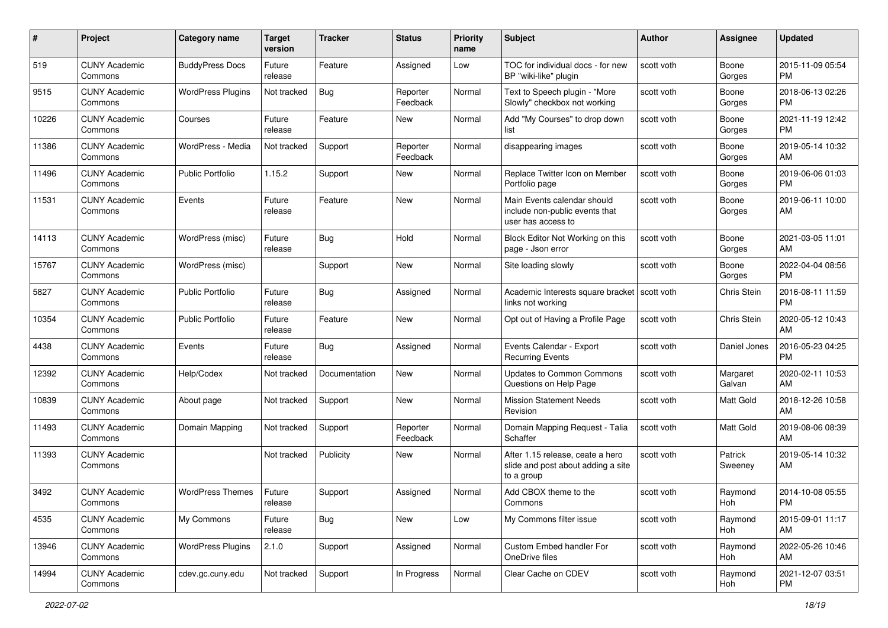| #     | Project                         | <b>Category name</b>     | <b>Target</b><br>version | <b>Tracker</b> | <b>Status</b>        | <b>Priority</b><br>name | <b>Subject</b>                                                                       | Author     | Assignee           | <b>Updated</b>                |
|-------|---------------------------------|--------------------------|--------------------------|----------------|----------------------|-------------------------|--------------------------------------------------------------------------------------|------------|--------------------|-------------------------------|
| 519   | <b>CUNY Academic</b><br>Commons | <b>BuddyPress Docs</b>   | Future<br>release        | Feature        | Assigned             | Low                     | TOC for individual docs - for new<br>BP "wiki-like" plugin                           | scott voth | Boone<br>Gorges    | 2015-11-09 05:54<br>PM.       |
| 9515  | <b>CUNY Academic</b><br>Commons | <b>WordPress Plugins</b> | Not tracked              | Bug            | Reporter<br>Feedback | Normal                  | Text to Speech plugin - "More<br>Slowly" checkbox not working                        | scott voth | Boone<br>Gorges    | 2018-06-13 02:26<br><b>PM</b> |
| 10226 | <b>CUNY Academic</b><br>Commons | Courses                  | Future<br>release        | Feature        | New                  | Normal                  | Add "My Courses" to drop down<br>list                                                | scott voth | Boone<br>Gorges    | 2021-11-19 12:42<br><b>PM</b> |
| 11386 | <b>CUNY Academic</b><br>Commons | WordPress - Media        | Not tracked              | Support        | Reporter<br>Feedback | Normal                  | disappearing images                                                                  | scott voth | Boone<br>Gorges    | 2019-05-14 10:32<br>AM        |
| 11496 | <b>CUNY Academic</b><br>Commons | Public Portfolio         | 1.15.2                   | Support        | New                  | Normal                  | Replace Twitter Icon on Member<br>Portfolio page                                     | scott voth | Boone<br>Gorges    | 2019-06-06 01:03<br><b>PM</b> |
| 11531 | <b>CUNY Academic</b><br>Commons | Events                   | Future<br>release        | Feature        | New                  | Normal                  | Main Events calendar should<br>include non-public events that<br>user has access to  | scott voth | Boone<br>Gorges    | 2019-06-11 10:00<br>AM        |
| 14113 | <b>CUNY Academic</b><br>Commons | WordPress (misc)         | Future<br>release        | Bug            | Hold                 | Normal                  | Block Editor Not Working on this<br>page - Json error                                | scott voth | Boone<br>Gorges    | 2021-03-05 11:01<br>AM        |
| 15767 | <b>CUNY Academic</b><br>Commons | WordPress (misc)         |                          | Support        | New                  | Normal                  | Site loading slowly                                                                  | scott voth | Boone<br>Gorges    | 2022-04-04 08:56<br><b>PM</b> |
| 5827  | <b>CUNY Academic</b><br>Commons | Public Portfolio         | Future<br>release        | Bug            | Assigned             | Normal                  | Academic Interests square bracket<br>links not working                               | scott voth | Chris Stein        | 2016-08-11 11:59<br><b>PM</b> |
| 10354 | <b>CUNY Academic</b><br>Commons | <b>Public Portfolio</b>  | Future<br>release        | Feature        | New                  | Normal                  | Opt out of Having a Profile Page                                                     | scott voth | Chris Stein        | 2020-05-12 10:43<br>AM        |
| 4438  | <b>CUNY Academic</b><br>Commons | Events                   | Future<br>release        | Bug            | Assigned             | Normal                  | Events Calendar - Export<br><b>Recurring Events</b>                                  | scott voth | Daniel Jones       | 2016-05-23 04:25<br><b>PM</b> |
| 12392 | <b>CUNY Academic</b><br>Commons | Help/Codex               | Not tracked              | Documentation  | New                  | Normal                  | <b>Updates to Common Commons</b><br>Questions on Help Page                           | scott voth | Margaret<br>Galvan | 2020-02-11 10:53<br>AM        |
| 10839 | <b>CUNY Academic</b><br>Commons | About page               | Not tracked              | Support        | New                  | Normal                  | <b>Mission Statement Needs</b><br>Revision                                           | scott voth | Matt Gold          | 2018-12-26 10:58<br>AM        |
| 11493 | <b>CUNY Academic</b><br>Commons | Domain Mapping           | Not tracked              | Support        | Reporter<br>Feedback | Normal                  | Domain Mapping Request - Talia<br>Schaffer                                           | scott voth | Matt Gold          | 2019-08-06 08:39<br>AM        |
| 11393 | <b>CUNY Academic</b><br>Commons |                          | Not tracked              | Publicity      | New                  | Normal                  | After 1.15 release, ceate a hero<br>slide and post about adding a site<br>to a group | scott voth | Patrick<br>Sweeney | 2019-05-14 10:32<br>AM        |
| 3492  | <b>CUNY Academic</b><br>Commons | <b>WordPress Themes</b>  | Future<br>release        | Support        | Assigned             | Normal                  | Add CBOX theme to the<br>Commons                                                     | scott voth | Raymond<br>Hoh     | 2014-10-08 05:55<br>PM        |
| 4535  | <b>CUNY Academic</b><br>Commons | My Commons               | Future<br>release        | Bug            | New                  | Low                     | My Commons filter issue                                                              | scott voth | Raymond<br>Hoh     | 2015-09-01 11:17<br>AM        |
| 13946 | <b>CUNY Academic</b><br>Commons | <b>WordPress Plugins</b> | 2.1.0                    | Support        | Assigned             | Normal                  | Custom Embed handler For<br>OneDrive files                                           | scott voth | Raymond<br>Hoh     | 2022-05-26 10:46<br>AM        |
| 14994 | <b>CUNY Academic</b><br>Commons | cdev.gc.cuny.edu         | Not tracked              | Support        | In Progress          | Normal                  | Clear Cache on CDEV                                                                  | scott voth | Raymond<br>Hoh     | 2021-12-07 03:51<br><b>PM</b> |